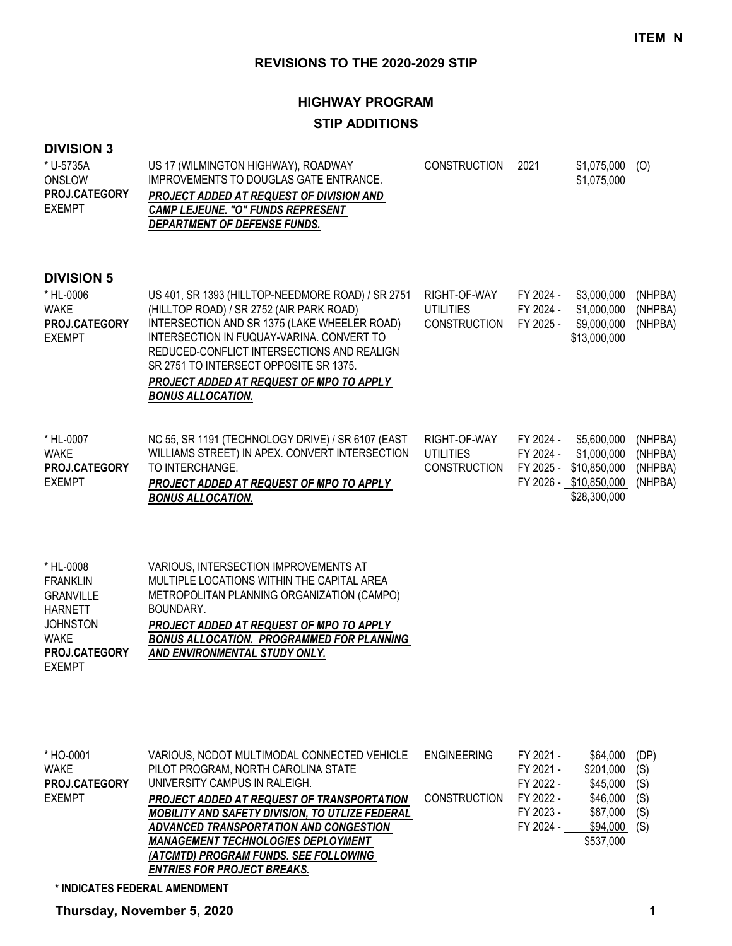# **HIGHWAY PROGRAM STIP ADDITIONS**

### **DIVISION 3**

| * U-5735A<br>ONSLOW<br>PROJ.CATEGORY<br><b>EXEMPT</b>                                                                                  | US 17 (WILMINGTON HIGHWAY), ROADWAY<br>IMPROVEMENTS TO DOUGLAS GATE ENTRANCE.<br>PROJECT ADDED AT REQUEST OF DIVISION AND<br><b>CAMP LEJEUNE. "O" FUNDS REPRESENT</b><br>DEPARTMENT OF DEFENSE FUNDS.                                                                                                                                                      | <b>CONSTRUCTION</b>                                     | 2021                                | $$1,075,000$ (O)<br>\$1,075,000                                                      |                                          |
|----------------------------------------------------------------------------------------------------------------------------------------|------------------------------------------------------------------------------------------------------------------------------------------------------------------------------------------------------------------------------------------------------------------------------------------------------------------------------------------------------------|---------------------------------------------------------|-------------------------------------|--------------------------------------------------------------------------------------|------------------------------------------|
| <b>DIVISION 5</b><br>* HL-0006<br><b>WAKE</b><br>PROJ.CATEGORY<br><b>EXEMPT</b>                                                        | US 401, SR 1393 (HILLTOP-NEEDMORE ROAD) / SR 2751<br>(HILLTOP ROAD) / SR 2752 (AIR PARK ROAD)<br>INTERSECTION AND SR 1375 (LAKE WHEELER ROAD)<br>INTERSECTION IN FUQUAY-VARINA. CONVERT TO<br>REDUCED-CONFLICT INTERSECTIONS AND REALIGN<br>SR 2751 TO INTERSECT OPPOSITE SR 1375.<br>PROJECT ADDED AT REQUEST OF MPO TO APPLY<br><b>BONUS ALLOCATION.</b> | RIGHT-OF-WAY<br><b>UTILITIES</b><br><b>CONSTRUCTION</b> | FY 2024 -<br>FY 2024 -<br>FY 2025 - | \$3,000,000<br>\$1,000,000<br>\$9,000,000<br>\$13,000,000                            | (NHPBA)<br>(NHPBA)<br>(NHPBA)            |
| * HL-0007<br><b>WAKE</b><br>PROJ.CATEGORY<br><b>EXEMPT</b>                                                                             | NC 55, SR 1191 (TECHNOLOGY DRIVE) / SR 6107 (EAST<br>WILLIAMS STREET) IN APEX. CONVERT INTERSECTION<br>TO INTERCHANGE.<br>PROJECT ADDED AT REQUEST OF MPO TO APPLY<br><b>BONUS ALLOCATION.</b>                                                                                                                                                             | RIGHT-OF-WAY<br><b>UTILITIES</b><br><b>CONSTRUCTION</b> | FY 2024 -<br>FY 2024 -<br>FY 2025 - | \$5,600,000<br>\$1,000,000<br>\$10,850,000<br>FY 2026 - \$10,850,000<br>\$28,300,000 | (NHPBA)<br>(NHPBA)<br>(NHPBA)<br>(NHPBA) |
| * HL-0008<br><b>FRANKLIN</b><br><b>GRANVILLE</b><br><b>HARNETT</b><br><b>JOHNSTON</b><br><b>WAKE</b><br>PROJ.CATEGORY<br><b>EXEMPT</b> | VARIOUS, INTERSECTION IMPROVEMENTS AT<br>MULTIPLE LOCATIONS WITHIN THE CAPITAL AREA<br>METROPOLITAN PLANNING ORGANIZATION (CAMPO)<br>BOUNDARY.<br>PROJECT ADDED AT REQUEST OF MPO TO APPLY<br><b>BONUS ALLOCATION. PROGRAMMED FOR PLANNING</b><br>AND ENVIRONMENTAL STUDY ONLY.                                                                            |                                                         |                                     |                                                                                      |                                          |

| VARIOUS, NCDOT MULTIMODAL CONNECTED VEHICLE            | <b>ENGINEERING</b>  | FY 2021 - | \$64,000  | (DP) |
|--------------------------------------------------------|---------------------|-----------|-----------|------|
| PILOT PROGRAM, NORTH CAROLINA STATE                    |                     | FY 2021 - | \$201,000 | (S)  |
| UNIVERSITY CAMPUS IN RALEIGH.                          |                     | FY 2022 - | \$45,000  | (S)  |
| <b>PROJECT ADDED AT REQUEST OF TRANSPORTATION</b>      | <b>CONSTRUCTION</b> | FY 2022 - | \$46,000  | (S)  |
| <b>MOBILITY AND SAFETY DIVISION, TO UTLIZE FEDERAL</b> |                     | FY 2023 - | \$87,000  | (S)  |
| ADVANCED TRANSPORTATION AND CONGESTION                 |                     | FY 2024 - | \$94,000  | (S)  |
| <b>MANAGEMENT TECHNOLOGIES DEPLOYMENT</b>              |                     |           | \$537,000 |      |
| (ATCMTD) PROGRAM FUNDS. SEE FOLLOWING                  |                     |           |           |      |
| <b>ENTRIES FOR PROJECT BREAKS.</b>                     |                     |           |           |      |
|                                                        |                     |           |           |      |

**\* INDICATES FEDERAL AMENDMENT**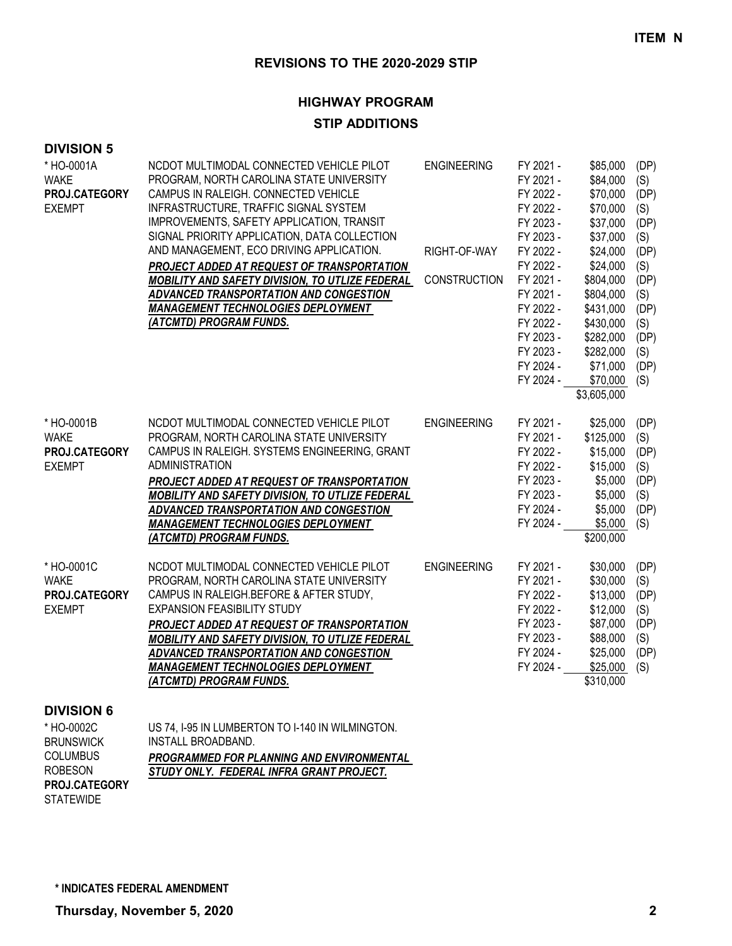# **HIGHWAY PROGRAM**

### **STIP ADDITIONS**

| <b>DIVISION 5</b>                                                                                         |                                                                                                                                                                                                                                                                                                                                                                                                                                                                                                                                   |                                                           |                                                                                                                                                                                                 |                                                                                                                                                                                        |                                                                                                               |
|-----------------------------------------------------------------------------------------------------------|-----------------------------------------------------------------------------------------------------------------------------------------------------------------------------------------------------------------------------------------------------------------------------------------------------------------------------------------------------------------------------------------------------------------------------------------------------------------------------------------------------------------------------------|-----------------------------------------------------------|-------------------------------------------------------------------------------------------------------------------------------------------------------------------------------------------------|----------------------------------------------------------------------------------------------------------------------------------------------------------------------------------------|---------------------------------------------------------------------------------------------------------------|
| * HO-0001A<br><b>WAKE</b><br>PROJ.CATEGORY<br><b>EXEMPT</b>                                               | NCDOT MULTIMODAL CONNECTED VEHICLE PILOT<br>PROGRAM, NORTH CAROLINA STATE UNIVERSITY<br>CAMPUS IN RALEIGH. CONNECTED VEHICLE<br>INFRASTRUCTURE, TRAFFIC SIGNAL SYSTEM<br>IMPROVEMENTS, SAFETY APPLICATION, TRANSIT<br>SIGNAL PRIORITY APPLICATION, DATA COLLECTION<br>AND MANAGEMENT, ECO DRIVING APPLICATION.<br>PROJECT ADDED AT REQUEST OF TRANSPORTATION<br>MOBILITY AND SAFETY DIVISION, TO UTLIZE FEDERAL<br>ADVANCED TRANSPORTATION AND CONGESTION<br><b>MANAGEMENT TECHNOLOGIES DEPLOYMENT</b><br>(ATCMTD) PROGRAM FUNDS. | <b>ENGINEERING</b><br>RIGHT-OF-WAY<br><b>CONSTRUCTION</b> | FY 2021 -<br>FY 2021 -<br>FY 2022 -<br>FY 2022 -<br>FY 2023 -<br>FY 2023 -<br>FY 2022 -<br>FY 2022 -<br>FY 2021 -<br>FY 2021 -<br>FY 2022 -<br>FY 2022 -<br>FY 2023 -<br>FY 2023 -<br>FY 2024 - | \$85,000<br>\$84,000<br>\$70,000<br>\$70,000<br>\$37,000<br>\$37,000<br>\$24,000<br>\$24,000<br>\$804,000<br>\$804,000<br>\$431,000<br>\$430,000<br>\$282,000<br>\$282,000<br>\$71,000 | (DP)<br>(S)<br>(DP)<br>(S)<br>(DP)<br>(S)<br>(DP)<br>(S)<br>(DP)<br>(S)<br>(DP)<br>(S)<br>(DP)<br>(S)<br>(DP) |
|                                                                                                           |                                                                                                                                                                                                                                                                                                                                                                                                                                                                                                                                   |                                                           | FY 2024 -                                                                                                                                                                                       | \$70,000<br>\$3,605,000                                                                                                                                                                | (S)                                                                                                           |
| * HO-0001B<br><b>WAKE</b><br>PROJ.CATEGORY<br><b>EXEMPT</b>                                               | NCDOT MULTIMODAL CONNECTED VEHICLE PILOT<br>PROGRAM, NORTH CAROLINA STATE UNIVERSITY<br>CAMPUS IN RALEIGH. SYSTEMS ENGINEERING, GRANT<br><b>ADMINISTRATION</b><br>PROJECT ADDED AT REQUEST OF TRANSPORTATION<br>MOBILITY AND SAFETY DIVISION, TO UTLIZE FEDERAL<br>ADVANCED TRANSPORTATION AND CONGESTION<br><b>MANAGEMENT TECHNOLOGIES DEPLOYMENT</b><br>(ATCMTD) PROGRAM FUNDS.                                                                                                                                                 | <b>ENGINEERING</b>                                        | FY 2021 -<br>FY 2021 -<br>FY 2022 -<br>FY 2022 -<br>FY 2023 -<br>FY 2023 -<br>FY 2024 -<br>FY 2024 -                                                                                            | \$25,000<br>\$125,000<br>\$15,000<br>\$15,000<br>\$5,000<br>\$5,000<br>\$5,000<br>\$5,000<br>\$200,000                                                                                 | (DP)<br>(S)<br>(DP)<br>(S)<br>(DP)<br>(S)<br>(DP)<br>(S)                                                      |
| * HO-0001C<br><b>WAKE</b><br>PROJ.CATEGORY<br><b>EXEMPT</b>                                               | NCDOT MULTIMODAL CONNECTED VEHICLE PILOT<br>PROGRAM, NORTH CAROLINA STATE UNIVERSITY<br>CAMPUS IN RALEIGH.BEFORE & AFTER STUDY,<br><b>EXPANSION FEASIBILITY STUDY</b><br>PROJECT ADDED AT REQUEST OF TRANSPORTATION<br>MOBILITY AND SAFETY DIVISION, TO UTLIZE FEDERAL<br>ADVANCED TRANSPORTATION AND CONGESTION<br><b>MANAGEMENT TECHNOLOGIES DEPLOYMENT</b><br>(ATCMTD) PROGRAM FUNDS.                                                                                                                                          | <b>ENGINEERING</b>                                        | FY 2021 -<br>FY 2021 -<br>FY 2022 -<br>FY 2022 -<br>FY 2023 -<br>FY 2023 -<br>FY 2024 -<br>FY 2024 -                                                                                            | \$30,000<br>\$30,000<br>\$13,000<br>\$12,000<br>\$87,000<br>\$88,000<br>\$25,000<br>\$25,000<br>\$310,000                                                                              | (DP)<br>(S)<br>(DP)<br>(S)<br>(DP)<br>(S)<br>(DP)<br>(S)                                                      |
| <b>DIVISION 6</b><br>* HO-0002C<br><b>BRUNSWICK</b><br><b>COLUMBUS</b><br><b>ROBESON</b><br>PROJ.CATEGORY | US 74, I-95 IN LUMBERTON TO I-140 IN WILMINGTON.<br>INSTALL BROADBAND.<br>PROGRAMMED FOR PLANNING AND ENVIRONMENTAL<br>STUDY ONLY. FEDERAL INFRA GRANT PROJECT.                                                                                                                                                                                                                                                                                                                                                                   |                                                           |                                                                                                                                                                                                 |                                                                                                                                                                                        |                                                                                                               |

**STATEWIDE** 

**\* INDICATES FEDERAL AMENDMENT**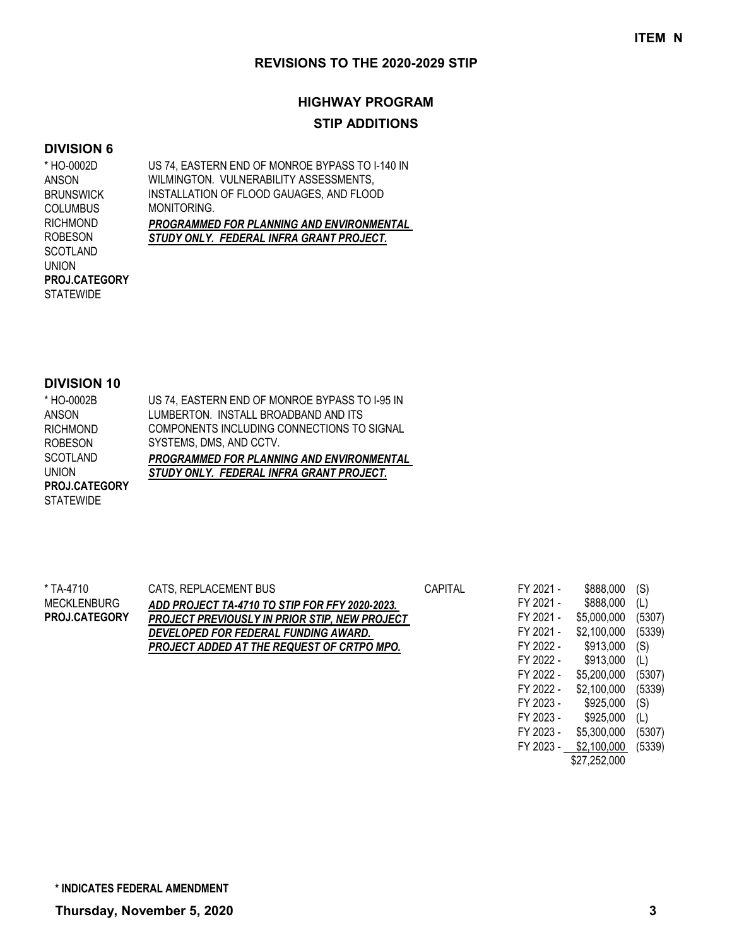# **HIGHWAY PROGRAM STIP ADDITIONS**

#### **DIVISION 6**

US 74, EASTERN END OF MONROE BYPASS TO I-140 IN WILMINGTON. VULNERABILITY ASSESSMENTS. INSTALLATION OF FLOOD GAUAGES, AND FLOOD MONITORING. *PROGRAMMED FOR PLANNING AND ENVIRONMENTAL STUDY ONLY. FEDERAL INFRA GRANT PROJECT.* \* HO-0002D ANSON BRUNSWICK **COLUMBUS** RICHMOND ROBESON SCOTLAND UNION **STATEWIDE PROJ.CATEGORY**

#### **DIVISION 10**

| * HO-0002B           | US 74, EASTERN END OF MONROE BYPASS TO 1-95 IN   |
|----------------------|--------------------------------------------------|
| ANSON                | LUMBERTON. INSTALL BROADBAND AND ITS             |
| <b>RICHMOND</b>      | COMPONENTS INCLUDING CONNECTIONS TO SIGNAL       |
| <b>ROBESON</b>       | SYSTEMS, DMS, AND CCTV.                          |
| <b>SCOTLAND</b>      | <b>PROGRAMMED FOR PLANNING AND ENVIRONMENTAL</b> |
| <b>UNION</b>         | STUDY ONLY. FEDERAL INFRA GRANT PROJECT.         |
| <b>PROJ.CATEGORY</b> |                                                  |
| <b>STATEWIDE</b>     |                                                  |

| * TA-4710            | CATS, REPLACEMENT BUS                                | <b>CAPITAL</b> | FY 2021 - | \$888,000   | (S)    |
|----------------------|------------------------------------------------------|----------------|-----------|-------------|--------|
| <b>MECKLENBURG</b>   | ADD PROJECT TA-4710 TO STIP FOR FFY 2020-2023.       |                | FY 2021 - | \$888,000   | (L)    |
| <b>PROJ.CATEGORY</b> | <b>PROJECT PREVIOUSLY IN PRIOR STIP, NEW PROJECT</b> |                | FY 2021 - | \$5,000,000 | (5307) |
|                      | DEVELOPED FOR FEDERAL FUNDING AWARD.                 |                | FY 2021 - | \$2,100,000 | (5339) |
|                      | PROJECT ADDED AT THE REQUEST OF CRTPO MPO.           |                | FY 2022 - | \$913,000   | (S)    |
|                      |                                                      |                | FY 2022 - | \$913,000   | (L)    |
|                      |                                                      |                | FY 2022 - | \$5,200,000 | (5307) |
|                      |                                                      |                | FY 2022 - | \$2,100,000 | (5339) |
|                      |                                                      |                | FY 2023 - | \$925,000   | (S)    |
|                      |                                                      |                | FY 2023 - | \$925,000   | (L)    |
|                      |                                                      |                | FY 2023 - | \$5,300,000 | (5307) |

FY 2023 - \$2,100,000 (5339) \$27,252,000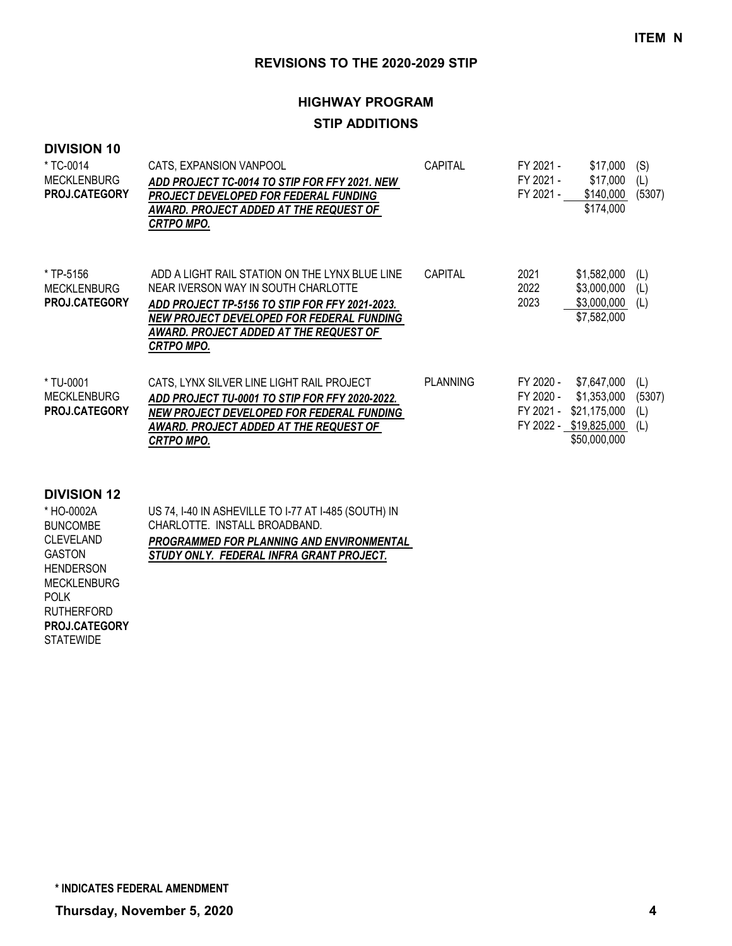# **HIGHWAY PROGRAM**

# **STIP ADDITIONS**

### **DIVISION 10**

| * TC-0014<br><b>MECKLENBURG</b><br>PROJ.CATEGORY        | CATS, EXPANSION VANPOOL<br>ADD PROJECT TC-0014 TO STIP FOR FFY 2021. NEW<br>PROJECT DEVELOPED FOR FEDERAL FUNDING<br>AWARD. PROJECT ADDED AT THE REQUEST OF<br>CRTPO MPO.                                                                           | <b>CAPITAL</b>  | FY 2021 -<br>FY 2021 -<br>FY 2021 - | \$17,000<br>\$17,000<br>\$140,000<br>\$174,000                                       | (S)<br>(L)<br>(5307)        |
|---------------------------------------------------------|-----------------------------------------------------------------------------------------------------------------------------------------------------------------------------------------------------------------------------------------------------|-----------------|-------------------------------------|--------------------------------------------------------------------------------------|-----------------------------|
| * TP-5156<br><b>MECKLENBURG</b><br><b>PROJ.CATEGORY</b> | ADD A LIGHT RAIL STATION ON THE LYNX BLUE LINE<br>NEAR IVERSON WAY IN SOUTH CHARLOTTE<br>ADD PROJECT TP-5156 TO STIP FOR FFY 2021-2023.<br>NEW PROJECT DEVELOPED FOR FEDERAL FUNDING<br>AWARD. PROJECT ADDED AT THE REQUEST OF<br><b>CRTPO MPO.</b> | <b>CAPITAL</b>  | 2021<br>2022<br>2023                | \$1,582,000<br>\$3,000,000<br>$$3,000,000$ (L)<br>\$7,582,000                        | (L)<br>(L)                  |
| * TU-0001<br><b>MECKLENBURG</b><br><b>PROJ.CATEGORY</b> | CATS, LYNX SILVER LINE LIGHT RAIL PROJECT<br>ADD PROJECT TU-0001 TO STIP FOR FFY 2020-2022.<br>NEW PROJECT DEVELOPED FOR FEDERAL FUNDING<br>AWARD. PROJECT ADDED AT THE REQUEST OF<br><b>CRTPO MPO.</b>                                             | <b>PLANNING</b> | FY 2020 -<br>FY 2020 -<br>FY 2021 - | \$7,647,000<br>\$1,353,000<br>\$21,175,000<br>FY 2022 - \$19,825,000<br>\$50,000,000 | (L)<br>(5307)<br>(L)<br>(L) |

#### **DIVISION 12**

| * HO-0002A           | US 74, I-40 IN ASHEVILLE TO I-77 AT I-485 (SOUTH) IN |
|----------------------|------------------------------------------------------|
| <b>BUNCOMBE</b>      | CHARLOTTE. INSTALL BROADBAND.                        |
| <b>CLEVELAND</b>     | <b>PROGRAMMED FOR PLANNING AND ENVIRONMENTAL</b>     |
| <b>GASTON</b>        | STUDY ONLY. FEDERAL INFRA GRANT PROJECT.             |
| <b>HENDERSON</b>     |                                                      |
| <b>MECKLENBURG</b>   |                                                      |
| <b>POLK</b>          |                                                      |
| <b>RUTHERFORD</b>    |                                                      |
| <b>PROJ.CATEGORY</b> |                                                      |

**STATEWIDE**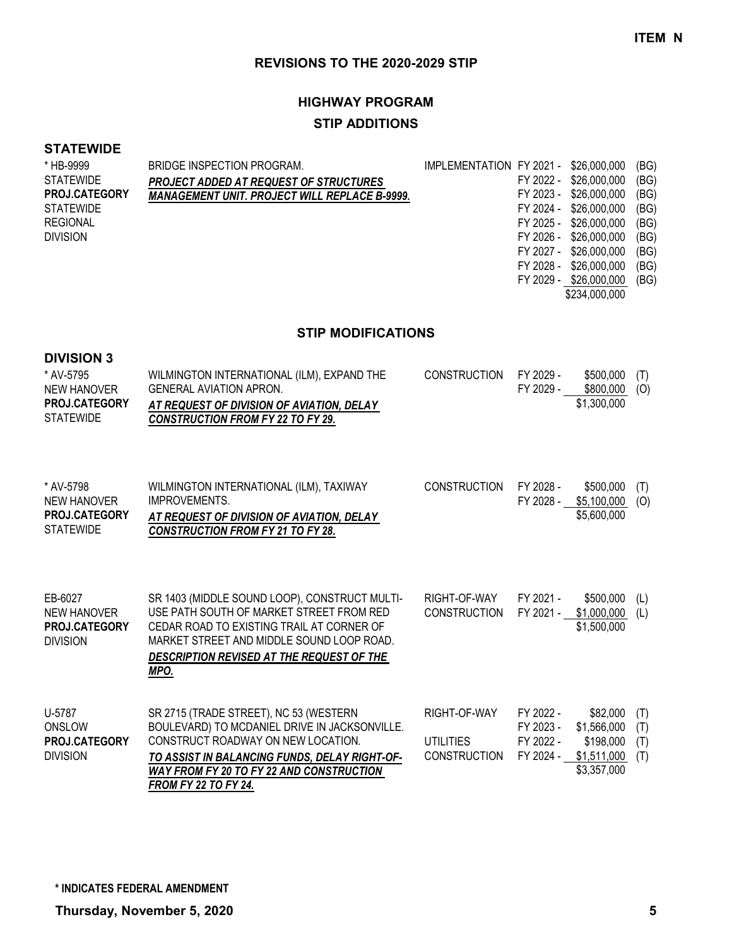# **HIGHWAY PROGRAM**

# **STIP ADDITIONS**

### **STATEWIDE**

| * HB-9999            | BRIDGE INSPECTION PROGRAM.                           | IMPLEMENTATION FY 2021 - \$26,000,000 |           |                        | (BG) |
|----------------------|------------------------------------------------------|---------------------------------------|-----------|------------------------|------|
| <b>STATEWIDE</b>     | <b>PROJECT ADDED AT REQUEST OF STRUCTURES</b>        |                                       |           | FY 2022 - \$26,000,000 | (BG) |
| <b>PROJ.CATEGORY</b> | <b>MANAGEMENT UNIT. PROJECT WILL REPLACE B-9999.</b> |                                       |           | FY 2023 - \$26,000,000 | (BG) |
| <b>STATEWIDE</b>     |                                                      |                                       |           | FY 2024 - \$26,000,000 | (BG) |
| <b>REGIONAL</b>      |                                                      |                                       | FY 2025 - | \$26,000,000           | (BG) |
| <b>DIVISION</b>      |                                                      |                                       |           | FY 2026 - \$26,000,000 | (BG) |
|                      |                                                      |                                       |           | FY 2027 - \$26,000,000 | (BG) |
|                      |                                                      |                                       | FY 2028 - | \$26,000,000           | (BG) |
|                      |                                                      |                                       |           | FY 2029 - \$26,000,000 | (BG) |
|                      |                                                      |                                       |           | \$234,000,000          |      |

#### **STIP MODIFICATIONS**

| <b>DIVISION 3</b><br>* AV-5795<br><b>NEW HANOVER</b><br>PROJ.CATEGORY<br><b>STATEWIDE</b> | WILMINGTON INTERNATIONAL (ILM), EXPAND THE<br><b>GENERAL AVIATION APRON.</b><br>AT REQUEST OF DIVISION OF AVIATION, DELAY<br><b>CONSTRUCTION FROM FY 22 TO FY 29.</b>                                                                                            | <b>CONSTRUCTION</b>                                     | FY 2029 -<br>FY 2029 -                           | \$500,000<br>\$800,000<br>\$1,300,000                              | (T)<br>(O)               |
|-------------------------------------------------------------------------------------------|------------------------------------------------------------------------------------------------------------------------------------------------------------------------------------------------------------------------------------------------------------------|---------------------------------------------------------|--------------------------------------------------|--------------------------------------------------------------------|--------------------------|
| * AV-5798<br><b>NEW HANOVER</b><br><b>PROJ.CATEGORY</b><br><b>STATEWIDE</b>               | WILMINGTON INTERNATIONAL (ILM), TAXIWAY<br><b>IMPROVEMENTS.</b><br>AT REQUEST OF DIVISION OF AVIATION, DELAY<br><b>CONSTRUCTION FROM FY 21 TO FY 28.</b>                                                                                                         | <b>CONSTRUCTION</b>                                     | FY 2028 -<br>FY 2028 -                           | \$500,000<br>\$5,100,000<br>\$5,600,000                            | (T)<br>(O)               |
| EB-6027<br><b>NEW HANOVER</b><br>PROJ.CATEGORY<br><b>DIVISION</b>                         | SR 1403 (MIDDLE SOUND LOOP), CONSTRUCT MULTI-<br>USE PATH SOUTH OF MARKET STREET FROM RED<br>CEDAR ROAD TO EXISTING TRAIL AT CORNER OF<br>MARKET STREET AND MIDDLE SOUND LOOP ROAD.<br>DESCRIPTION REVISED AT THE REQUEST OF THE<br>MPO.                         | RIGHT-OF-WAY<br><b>CONSTRUCTION</b>                     | FY 2021 -<br>FY 2021 -                           | \$500,000<br>\$1,000,000<br>\$1,500,000                            | (L)<br>(L)               |
| U-5787<br>ONSLOW<br>PROJ.CATEGORY<br><b>DIVISION</b>                                      | SR 2715 (TRADE STREET), NC 53 (WESTERN<br>BOULEVARD) TO MCDANIEL DRIVE IN JACKSONVILLE.<br>CONSTRUCT ROADWAY ON NEW LOCATION.<br>TO ASSIST IN BALANCING FUNDS, DELAY RIGHT-OF-<br><b>WAY FROM FY 20 TO FY 22 AND CONSTRUCTION</b><br><b>FROM FY 22 TO FY 24.</b> | RIGHT-OF-WAY<br><b>UTILITIES</b><br><b>CONSTRUCTION</b> | FY 2022 -<br>FY 2023 -<br>FY 2022 -<br>FY 2024 - | \$82,000<br>\$1,566,000<br>\$198,000<br>\$1,511,000<br>\$3,357,000 | (T)<br>(T)<br>(T)<br>(T) |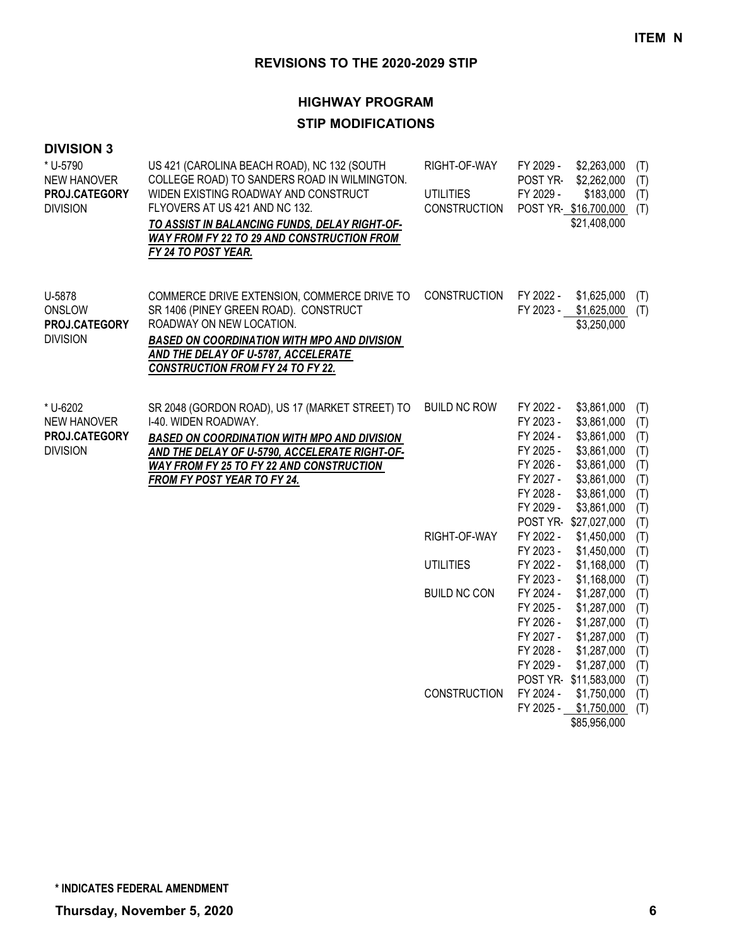| <b>DIVISION 3</b><br>* U-5790<br><b>NEW HANOVER</b><br>PROJ.CATEGORY<br><b>DIVISION</b> | US 421 (CAROLINA BEACH ROAD), NC 132 (SOUTH<br>COLLEGE ROAD) TO SANDERS ROAD IN WILMINGTON.<br>WIDEN EXISTING ROADWAY AND CONSTRUCT<br>FLYOVERS AT US 421 AND NC 132.<br>TO ASSIST IN BALANCING FUNDS, DELAY RIGHT-OF-<br><b>WAY FROM FY 22 TO 29 AND CONSTRUCTION FROM</b><br>FY 24 TO POST YEAR. | RIGHT-OF-WAY<br><b>UTILITIES</b><br><b>CONSTRUCTION</b> | FY 2029 -<br>\$2,263,000<br>(T)<br>POST YR-<br>\$2,262,000<br>(T)<br>FY 2029 -<br>\$183,000<br>(T)<br>POST YR-\$16,700,000<br>(T)<br>\$21,408,000                                                                                                                                                                   |
|-----------------------------------------------------------------------------------------|----------------------------------------------------------------------------------------------------------------------------------------------------------------------------------------------------------------------------------------------------------------------------------------------------|---------------------------------------------------------|---------------------------------------------------------------------------------------------------------------------------------------------------------------------------------------------------------------------------------------------------------------------------------------------------------------------|
| U-5878<br>ONSLOW<br>PROJ.CATEGORY<br><b>DIVISION</b>                                    | COMMERCE DRIVE EXTENSION, COMMERCE DRIVE TO<br>SR 1406 (PINEY GREEN ROAD). CONSTRUCT<br>ROADWAY ON NEW LOCATION.<br><b>BASED ON COORDINATION WITH MPO AND DIVISION</b><br><b>AND THE DELAY OF U-5787, ACCELERATE</b><br><b>CONSTRUCTION FROM FY 24 TO FY 22.</b>                                   | <b>CONSTRUCTION</b>                                     | FY 2022 -<br>\$1,625,000<br>(T)<br>FY 2023 - \$1,625,000<br>(T)<br>\$3,250,000                                                                                                                                                                                                                                      |
| * U-6202<br>NEW HANOVER<br>PROJ.CATEGORY<br><b>DIVISION</b>                             | SR 2048 (GORDON ROAD), US 17 (MARKET STREET) TO<br>I-40. WIDEN ROADWAY.<br><b>BASED ON COORDINATION WITH MPO AND DIVISION</b><br>AND THE DELAY OF U-5790, ACCELERATE RIGHT-OF-<br><b>WAY FROM FY 25 TO FY 22 AND CONSTRUCTION</b><br><b>FROM FY POST YEAR TO FY 24.</b>                            | <b>BUILD NC ROW</b>                                     | FY 2022 -<br>\$3,861,000<br>(T)<br>\$3,861,000<br>FY 2023 -<br>(T)<br>\$3,861,000<br>FY 2024 -<br>(T)<br>\$3,861,000<br>FY 2025 -<br>(T)<br>FY 2026 -<br>\$3,861,000<br>(T)<br>FY 2027 -<br>\$3,861,000<br>(T)<br>FY 2028 -<br>\$3,861,000<br>(T)<br>FY 2029 -<br>\$3,861,000<br>(T)<br>POST YR-\$27,027,000<br>(T) |
|                                                                                         |                                                                                                                                                                                                                                                                                                    | RIGHT-OF-WAY                                            | FY 2022 -<br>\$1,450,000<br>(T)<br>FY 2023 -<br>\$1,450,000<br>(T)                                                                                                                                                                                                                                                  |
|                                                                                         |                                                                                                                                                                                                                                                                                                    | <b>UTILITIES</b>                                        | FY 2022 -<br>\$1,168,000<br>(T)<br>\$1,168,000<br>FY 2023 -<br>(T)                                                                                                                                                                                                                                                  |
|                                                                                         |                                                                                                                                                                                                                                                                                                    | <b>BUILD NC CON</b>                                     | \$1,287,000<br>FY 2024 -<br>(T)<br>\$1,287,000<br>FY 2025 -<br>(T)<br>FY 2026 -<br>\$1,287,000<br>(T)<br>FY 2027 -<br>\$1,287,000<br>(T)<br>FY 2028 -<br>\$1,287,000<br>(T)<br>FY 2029 -<br>\$1,287,000<br>(T)<br>POST YR-\$11,583,000<br>(T)                                                                       |
|                                                                                         |                                                                                                                                                                                                                                                                                                    | <b>CONSTRUCTION</b>                                     | FY 2024 -<br>\$1,750,000<br>(T)<br>FY 2025 -<br>\$1,750,000<br>(T)<br>\$85,956,000                                                                                                                                                                                                                                  |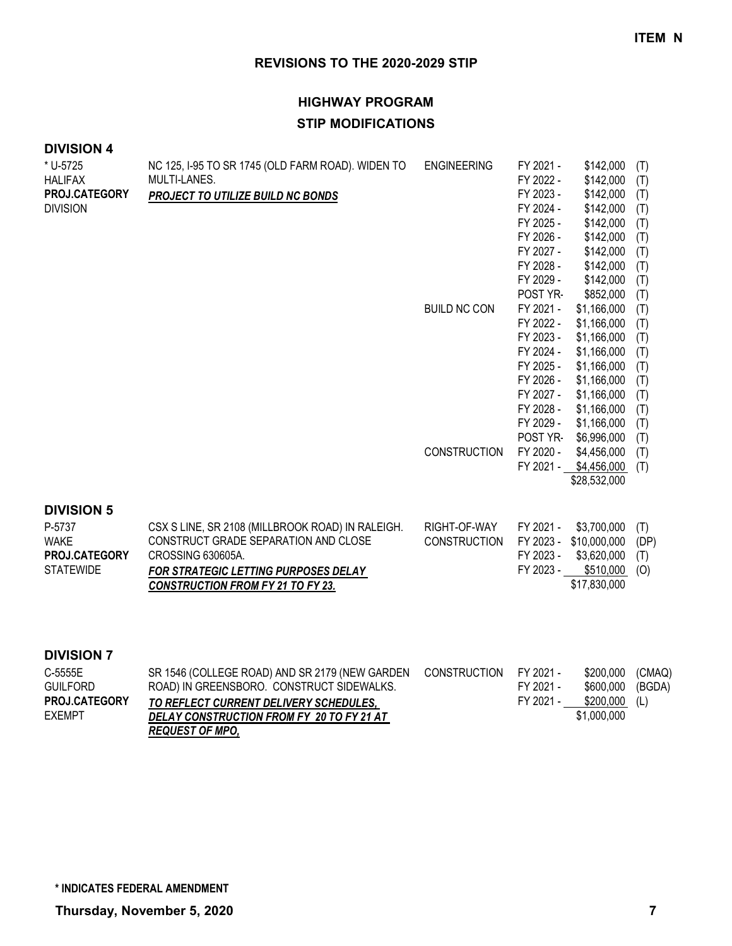# **HIGHWAY PROGRAM STIP MODIFICATIONS**

### **DIVISION 4**

| * U-5725              | NC 125, I-95 TO SR 1745 (OLD FARM ROAD). WIDEN TO                                        | <b>ENGINEERING</b>  | FY 2021 -              | \$142,000                | (T)  |
|-----------------------|------------------------------------------------------------------------------------------|---------------------|------------------------|--------------------------|------|
| <b>HALIFAX</b>        | MULTI-LANES.                                                                             |                     | FY 2022 -              | \$142,000                | (T)  |
| PROJ.CATEGORY         | PROJECT TO UTILIZE BUILD NC BONDS                                                        |                     | FY 2023 -              | \$142,000                | (T)  |
| <b>DIVISION</b>       |                                                                                          |                     | FY 2024 -              | \$142,000                | (T)  |
|                       |                                                                                          |                     | FY 2025 -              | \$142,000                | (T)  |
|                       |                                                                                          |                     | FY 2026 -              | \$142,000                | (T)  |
|                       |                                                                                          |                     | FY 2027 -              | \$142,000                | (T)  |
|                       |                                                                                          |                     | FY 2028 -              | \$142,000                | (T)  |
|                       |                                                                                          |                     | FY 2029 -              | \$142,000                | (T)  |
|                       |                                                                                          |                     | POST YR-               | \$852,000                | (T)  |
|                       |                                                                                          | <b>BUILD NC CON</b> | FY 2021 -              | \$1,166,000              | (T)  |
|                       |                                                                                          |                     | FY 2022 -              | \$1,166,000              | (T)  |
|                       |                                                                                          |                     | FY 2023 -              | \$1,166,000              | (T)  |
|                       |                                                                                          |                     | FY 2024 -              | \$1,166,000              | (T)  |
|                       |                                                                                          |                     | FY 2025 -              | \$1,166,000              | (T)  |
|                       |                                                                                          |                     | FY 2026 -              | \$1,166,000              | (T)  |
|                       |                                                                                          |                     | FY 2027 -              | \$1,166,000              | (T)  |
|                       |                                                                                          |                     | FY 2028 -              | \$1,166,000              | (T)  |
|                       |                                                                                          |                     | FY 2029 -              | \$1,166,000              | (T)  |
|                       |                                                                                          |                     | POST YR-               | \$6,996,000              | (T)  |
|                       |                                                                                          | <b>CONSTRUCTION</b> | FY 2020 -              | \$4,456,000              | (T)  |
|                       |                                                                                          |                     |                        | FY 2021 - \$4,456,000    | (T)  |
|                       |                                                                                          |                     |                        | \$28,532,000             |      |
| <b>DIVISION 5</b>     |                                                                                          |                     |                        |                          |      |
|                       |                                                                                          |                     |                        |                          |      |
| P-5737<br><b>WAKE</b> | CSX S LINE, SR 2108 (MILLBROOK ROAD) IN RALEIGH.<br>CONSTRUCT GRADE SEPARATION AND CLOSE | RIGHT-OF-WAY        | FY 2021 -              | \$3,700,000              | (T)  |
| PROJ.CATEGORY         | CROSSING 630605A.                                                                        | <b>CONSTRUCTION</b> | FY 2023 -<br>FY 2023 - | \$10,000,000             | (DP) |
| <b>STATEWIDE</b>      |                                                                                          |                     | FY 2023 -              | \$3,620,000<br>\$510,000 | (T)  |
|                       | <b>FOR STRATEGIC LETTING PURPOSES DELAY</b>                                              |                     |                        | \$17,830,000             | (O)  |
|                       | <b>CONSTRUCTION FROM FY 21 TO FY 23.</b>                                                 |                     |                        |                          |      |
|                       |                                                                                          |                     |                        |                          |      |
|                       |                                                                                          |                     |                        |                          |      |

#### **DIVISION 7**

| C-5555E              | SR 1546 (COLLEGE ROAD) AND SR 2179 (NEW GARDEN | CONSTRUCTION | FY 2021 - | \$200.000        | (CMAQ) |
|----------------------|------------------------------------------------|--------------|-----------|------------------|--------|
| <b>GUILFORD</b>      | ROAD) IN GREENSBORO. CONSTRUCT SIDEWALKS.      |              | FY 2021 - | \$600,000 (BGDA) |        |
| <b>PROJ.CATEGORY</b> | TO REFLECT CURRENT DELIVERY SCHEDULES.         |              | FY 2021 - | \$200,000 (L)    |        |
| <b>FXEMPT</b>        | DELAY CONSTRUCTION FROM FY 20 TO FY 21 AT      |              |           | \$1,000,000      |        |
|                      | <b>REQUEST OF MPO.</b>                         |              |           |                  |        |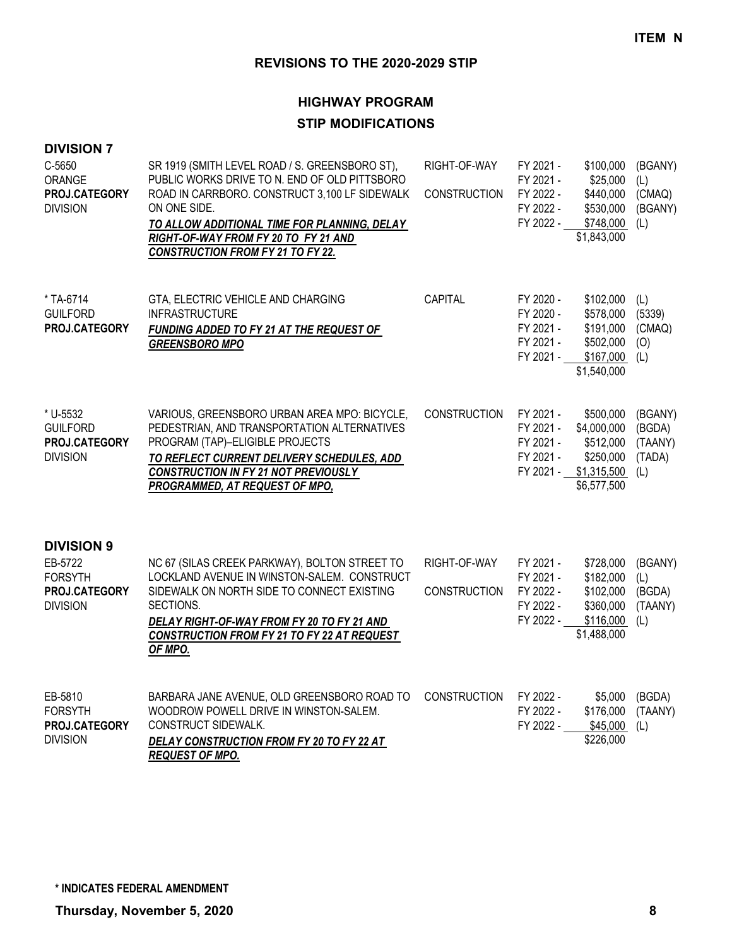| <b>DIVISION 7</b>                                               |                                                                                                                                                                                                                                                                                                      |                                     |                                                               |                                                                                  |                                               |
|-----------------------------------------------------------------|------------------------------------------------------------------------------------------------------------------------------------------------------------------------------------------------------------------------------------------------------------------------------------------------------|-------------------------------------|---------------------------------------------------------------|----------------------------------------------------------------------------------|-----------------------------------------------|
| C-5650<br>ORANGE<br>PROJ.CATEGORY<br><b>DIVISION</b>            | SR 1919 (SMITH LEVEL ROAD / S. GREENSBORO ST),<br>PUBLIC WORKS DRIVE TO N. END OF OLD PITTSBORO<br>ROAD IN CARRBORO. CONSTRUCT 3,100 LF SIDEWALK<br>ON ONE SIDE.<br>TO ALLOW ADDITIONAL TIME FOR PLANNING, DELAY<br>RIGHT-OF-WAY FROM FY 20 TO FY 21 AND<br><b>CONSTRUCTION FROM FY 21 TO FY 22.</b> | RIGHT-OF-WAY<br><b>CONSTRUCTION</b> | FY 2021 -<br>FY 2021 -<br>FY 2022 -<br>FY 2022 -<br>FY 2022 - | \$100,000<br>\$25,000<br>\$440,000<br>\$530,000<br>\$748,000<br>\$1,843,000      | (BGANY)<br>(L)<br>(CMAQ)<br>(BGANY)<br>(L)    |
| * TA-6714<br><b>GUILFORD</b><br>PROJ.CATEGORY                   | GTA, ELECTRIC VEHICLE AND CHARGING<br><b>INFRASTRUCTURE</b><br>FUNDING ADDED TO FY 21 AT THE REQUEST OF<br><b>GREENSBORO MPO</b>                                                                                                                                                                     | CAPITAL                             | FY 2020 -<br>FY 2020 -<br>FY 2021 -<br>FY 2021 -<br>FY 2021 - | \$102,000<br>\$578,000<br>\$191,000<br>\$502,000<br>\$167,000<br>\$1,540,000     | (L)<br>(5339)<br>(CMAQ)<br>(O)<br>(L)         |
| * U-5532<br><b>GUILFORD</b><br>PROJ.CATEGORY<br><b>DIVISION</b> | VARIOUS, GREENSBORO URBAN AREA MPO: BICYCLE,<br>PEDESTRIAN, AND TRANSPORTATION ALTERNATIVES<br>PROGRAM (TAP)-ELIGIBLE PROJECTS<br>TO REFLECT CURRENT DELIVERY SCHEDULES, ADD<br><b>CONSTRUCTION IN FY 21 NOT PREVIOUSLY</b><br>PROGRAMMED, AT REQUEST OF MPO,                                        | <b>CONSTRUCTION</b>                 | FY 2021 -<br>FY 2021 -<br>FY 2021 -<br>FY 2021 -<br>FY 2021 - | \$500,000<br>\$4,000,000<br>\$512,000<br>\$250,000<br>\$1,315,500<br>\$6,577,500 | (BGANY)<br>(BGDA)<br>(TAANY)<br>(TADA)<br>(L) |
| <b>DIVISION 9</b><br>EB-5722<br><b>FORSYTH</b><br>PROJ.CATEGORY | NC 67 (SILAS CREEK PARKWAY), BOLTON STREET TO<br>LOCKLAND AVENUE IN WINSTON-SALEM. CONSTRUCT<br>SIDEWALK ON NORTH SIDE TO CONNECT EXISTING                                                                                                                                                           | RIGHT-OF-WAY<br>CONSTRUCTION        | FY 2021 -<br>FY 2021 -<br>FY 2022 -                           | \$728,000<br>\$182,000<br>\$102,000                                              | (BGANY)<br>(L)<br>(BGDA)                      |
| <b>DIVISION</b>                                                 | SECTIONS.<br>DELAY RIGHT-OF-WAY FROM FY 20 TO FY 21 AND<br>CONSTRUCTION FROM FY 21 TO FY 22 AT REQUEST<br>OF MPO.                                                                                                                                                                                    |                                     | FY 2022 -<br>FY 2022 -                                        | \$360,000<br>\$116,000<br>\$1,488,000                                            | (TAANY)<br>(L)                                |
| EB-5810<br><b>FORSYTH</b><br>PROJ.CATEGORY<br><b>DIVISION</b>   | BARBARA JANE AVENUE, OLD GREENSBORO ROAD TO<br>WOODROW POWELL DRIVE IN WINSTON-SALEM.<br>CONSTRUCT SIDEWALK.<br>DELAY CONSTRUCTION FROM FY 20 TO FY 22 AT<br><b>REQUEST OF MPO.</b>                                                                                                                  | <b>CONSTRUCTION</b>                 | FY 2022 -<br>FY 2022 -<br>FY 2022 -                           | \$5,000<br>\$176,000<br>\$45,000<br>\$226,000                                    | (BGDA)<br>(TAANY)<br>(1)                      |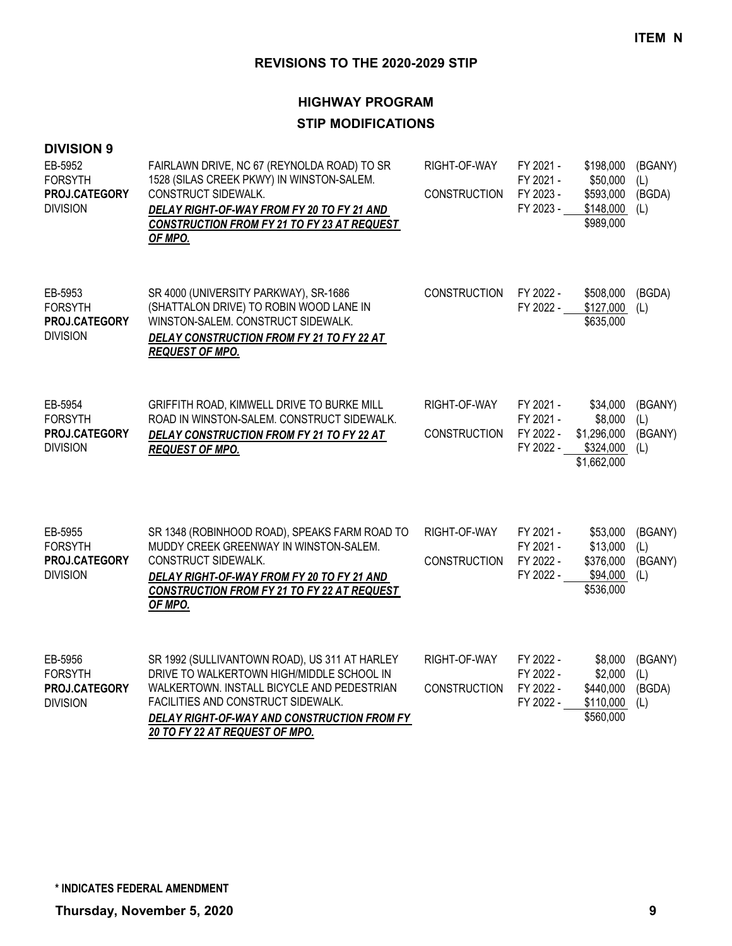| <b>DIVISION 9</b><br>EB-5952<br><b>FORSYTH</b><br>PROJ.CATEGORY<br><b>DIVISION</b> | FAIRLAWN DRIVE, NC 67 (REYNOLDA ROAD) TO SR<br>1528 (SILAS CREEK PKWY) IN WINSTON-SALEM.<br>CONSTRUCT SIDEWALK.<br>DELAY RIGHT-OF-WAY FROM FY 20 TO FY 21 AND<br>CONSTRUCTION FROM FY 21 TO FY 23 AT REQUEST<br>OF MPO.                                         | RIGHT-OF-WAY<br><b>CONSTRUCTION</b> | FY 2021 -<br>FY 2021 -<br>FY 2023 -<br>FY 2023 - | \$198,000<br>\$50,000<br>\$593,000<br>\$148,000<br>\$989,000   | (BGANY)<br>(L)<br>(BGDA)<br>(L)  |
|------------------------------------------------------------------------------------|-----------------------------------------------------------------------------------------------------------------------------------------------------------------------------------------------------------------------------------------------------------------|-------------------------------------|--------------------------------------------------|----------------------------------------------------------------|----------------------------------|
| EB-5953<br><b>FORSYTH</b><br>PROJ.CATEGORY<br><b>DIVISION</b>                      | SR 4000 (UNIVERSITY PARKWAY), SR-1686<br>(SHATTALON DRIVE) TO ROBIN WOOD LANE IN<br>WINSTON-SALEM. CONSTRUCT SIDEWALK.<br>DELAY CONSTRUCTION FROM FY 21 TO FY 22 AT<br><b>REQUEST OF MPO.</b>                                                                   | <b>CONSTRUCTION</b>                 | FY 2022 -<br>FY 2022 -                           | \$508,000<br>\$127,000<br>\$635,000                            | (BGDA)<br>(1)                    |
| EB-5954<br><b>FORSYTH</b><br>PROJ.CATEGORY<br><b>DIVISION</b>                      | GRIFFITH ROAD, KIMWELL DRIVE TO BURKE MILL<br>ROAD IN WINSTON-SALEM. CONSTRUCT SIDEWALK.<br>DELAY CONSTRUCTION FROM FY 21 TO FY 22 AT<br><b>REQUEST OF MPO.</b>                                                                                                 | RIGHT-OF-WAY<br><b>CONSTRUCTION</b> | FY 2021 -<br>FY 2021 -<br>FY 2022 -<br>FY 2022 - | \$34,000<br>\$8,000<br>\$1,296,000<br>\$324,000<br>\$1,662,000 | (BGANY)<br>(L)<br>(BGANY)<br>(L) |
| EB-5955<br><b>FORSYTH</b><br>PROJ.CATEGORY<br><b>DIVISION</b>                      | SR 1348 (ROBINHOOD ROAD), SPEAKS FARM ROAD TO<br>MUDDY CREEK GREENWAY IN WINSTON-SALEM.<br>CONSTRUCT SIDEWALK.<br>DELAY RIGHT-OF-WAY FROM FY 20 TO FY 21 AND<br><b>CONSTRUCTION FROM FY 21 TO FY 22 AT REQUEST</b><br>OF MPO.                                   | RIGHT-OF-WAY<br>CONSTRUCTION        | FY 2021 -<br>FY 2021 -<br>FY 2022 -<br>FY 2022 - | \$53,000<br>\$13,000<br>\$376,000<br>\$94,000<br>\$536,000     | (BGANY)<br>(L)<br>(BGANY)<br>(L) |
| EB-5956<br><b>FORSYTH</b><br>PROJ.CATEGORY<br><b>DIVISION</b>                      | SR 1992 (SULLIVANTOWN ROAD), US 311 AT HARLEY<br>DRIVE TO WALKERTOWN HIGH/MIDDLE SCHOOL IN<br>WALKERTOWN. INSTALL BICYCLE AND PEDESTRIAN<br>FACILITIES AND CONSTRUCT SIDEWALK.<br>DELAY RIGHT-OF-WAY AND CONSTRUCTION FROM FY<br>20 TO FY 22 AT REQUEST OF MPO. | RIGHT-OF-WAY<br><b>CONSTRUCTION</b> | FY 2022 -<br>FY 2022 -<br>FY 2022 -<br>FY 2022 - | \$8,000<br>\$2,000<br>\$440,000<br>\$110,000<br>\$560,000      | (BGANY)<br>(L)<br>(BGDA)<br>(L)  |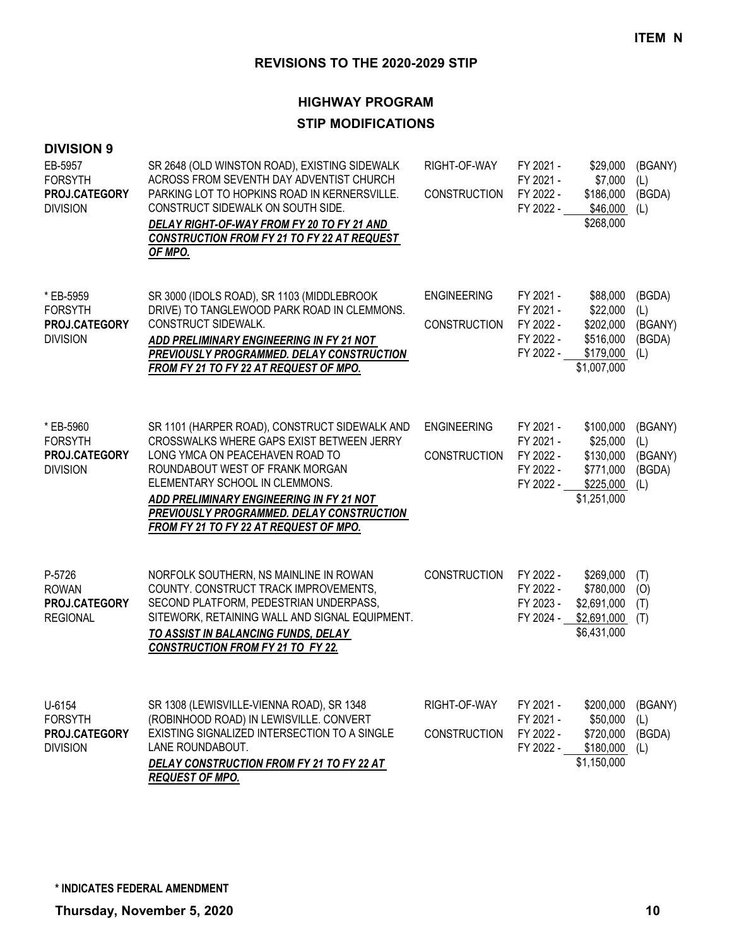# **HIGHWAY PROGRAM STIP MODIFICATIONS**

| <b>DIVISION 9</b><br>EB-5957<br><b>FORSYTH</b><br>PROJ.CATEGORY<br><b>DIVISION</b> | SR 2648 (OLD WINSTON ROAD), EXISTING SIDEWALK<br>ACROSS FROM SEVENTH DAY ADVENTIST CHURCH<br>PARKING LOT TO HOPKINS ROAD IN KERNERSVILLE.<br>CONSTRUCT SIDEWALK ON SOUTH SIDE.<br>DELAY RIGHT-OF-WAY FROM FY 20 TO FY 21 AND<br>CONSTRUCTION FROM FY 21 TO FY 22 AT REQUEST<br>OF MPO.                                                | RIGHT-OF-WAY<br><b>CONSTRUCTION</b>       | FY 2021 -<br>FY 2021 -<br>FY 2022 -<br>FY 2022 -              | \$29,000<br>\$7,000<br>\$186,000<br>\$46,000<br>\$268,000                   | (BGANY)<br>(L)<br>(BGDA)<br>(L)            |
|------------------------------------------------------------------------------------|---------------------------------------------------------------------------------------------------------------------------------------------------------------------------------------------------------------------------------------------------------------------------------------------------------------------------------------|-------------------------------------------|---------------------------------------------------------------|-----------------------------------------------------------------------------|--------------------------------------------|
| * EB-5959<br><b>FORSYTH</b><br>PROJ.CATEGORY<br><b>DIVISION</b>                    | SR 3000 (IDOLS ROAD), SR 1103 (MIDDLEBROOK<br>DRIVE) TO TANGLEWOOD PARK ROAD IN CLEMMONS.<br>CONSTRUCT SIDEWALK.<br>ADD PRELIMINARY ENGINEERING IN FY 21 NOT<br>PREVIOUSLY PROGRAMMED. DELAY CONSTRUCTION<br><b>FROM FY 21 TO FY 22 AT REQUEST OF MPO.</b>                                                                            | <b>ENGINEERING</b><br><b>CONSTRUCTION</b> | FY 2021 -<br>FY 2021 -<br>FY 2022 -<br>FY 2022 -<br>FY 2022 - | \$88,000<br>\$22,000<br>\$202,000<br>\$516,000<br>\$179,000<br>\$1,007,000  | (BGDA)<br>(L)<br>(BGANY)<br>(BGDA)<br>(L)  |
| * EB-5960<br><b>FORSYTH</b><br>PROJ.CATEGORY<br><b>DIVISION</b>                    | SR 1101 (HARPER ROAD), CONSTRUCT SIDEWALK AND<br>CROSSWALKS WHERE GAPS EXIST BETWEEN JERRY<br>LONG YMCA ON PEACEHAVEN ROAD TO<br>ROUNDABOUT WEST OF FRANK MORGAN<br>ELEMENTARY SCHOOL IN CLEMMONS.<br>ADD PRELIMINARY ENGINEERING IN FY 21 NOT<br>PREVIOUSLY PROGRAMMED. DELAY CONSTRUCTION<br>FROM FY 21 TO FY 22 AT REQUEST OF MPO. | <b>ENGINEERING</b><br><b>CONSTRUCTION</b> | FY 2021 -<br>FY 2021 -<br>FY 2022 -<br>FY 2022 -<br>FY 2022 - | \$100,000<br>\$25,000<br>\$130,000<br>\$771,000<br>\$225,000<br>\$1,251,000 | (BGANY)<br>(L)<br>(BGANY)<br>(BGDA)<br>(L) |
| P-5726<br><b>ROWAN</b><br>PROJ.CATEGORY<br><b>REGIONAL</b>                         | NORFOLK SOUTHERN, NS MAINLINE IN ROWAN<br>COUNTY. CONSTRUCT TRACK IMPROVEMENTS,<br>SECOND PLATFORM, PEDESTRIAN UNDERPASS,<br>SITEWORK, RETAINING WALL AND SIGNAL EQUIPMENT.<br>TO ASSIST IN BALANCING FUNDS, DELAY<br><b>CONSTRUCTION FROM FY 21 TO FY 22.</b>                                                                        | <b>CONSTRUCTION</b>                       | FY 2022 -<br>FY 2022 -<br>FY 2023 -<br>FY 2024 -              | \$269,000<br>\$780,000<br>\$2,691,000<br>\$2,691,000<br>\$6,431,000         | (T)<br>(O)<br>(T)<br>(T)                   |
| U-6154<br><b>FORSYTH</b><br>PROJ.CATEGORY<br><b>DIVISION</b>                       | SR 1308 (LEWISVILLE-VIENNA ROAD), SR 1348<br>(ROBINHOOD ROAD) IN LEWISVILLE. CONVERT<br>EXISTING SIGNALIZED INTERSECTION TO A SINGLE<br>LANE ROUNDABOUT.<br>DELAY CONSTRUCTION FROM FY 21 TO FY 22 AT<br><u>REQUEST OF MPO.</u>                                                                                                       | RIGHT-OF-WAY<br><b>CONSTRUCTION</b>       | FY 2021 -<br>FY 2021 -<br>FY 2022 -<br>FY 2022 -              | \$200,000<br>\$50,000<br>\$720,000<br>\$180,000<br>\$1,150,000              | (BGANY)<br>(L)<br>(BGDA)<br>(L)            |

**\* INDICATES FEDERAL AMENDMENT**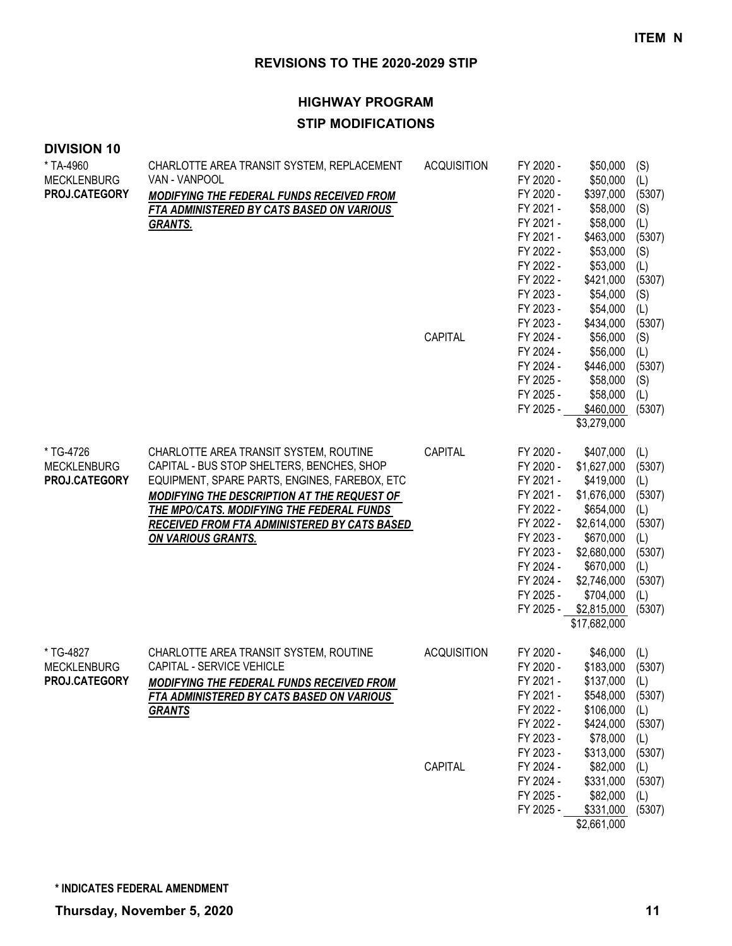| <b>DIVISION 10</b>                               |                                                                                                                                                                                                                                                                                                                |                    |                                                                                                                                                          |                                                                                                                                                                                      |                                                                                                    |
|--------------------------------------------------|----------------------------------------------------------------------------------------------------------------------------------------------------------------------------------------------------------------------------------------------------------------------------------------------------------------|--------------------|----------------------------------------------------------------------------------------------------------------------------------------------------------|--------------------------------------------------------------------------------------------------------------------------------------------------------------------------------------|----------------------------------------------------------------------------------------------------|
| * TA-4960<br><b>MECKLENBURG</b><br>PROJ.CATEGORY | CHARLOTTE AREA TRANSIT SYSTEM, REPLACEMENT<br>VAN - VANPOOL<br>MODIFYING THE FEDERAL FUNDS RECEIVED FROM<br>FTA ADMINISTERED BY CATS BASED ON VARIOUS<br><b>GRANTS.</b>                                                                                                                                        | <b>ACQUISITION</b> | FY 2020 -<br>FY 2020 -<br>FY 2020 -<br>FY 2021 -<br>FY 2021 -<br>FY 2021 -<br>FY 2022 -<br>FY 2022 -<br>FY 2022 -<br>FY 2023 -<br>FY 2023 -<br>FY 2023 - | \$50,000<br>\$50,000<br>\$397,000<br>\$58,000<br>\$58,000<br>\$463,000<br>\$53,000<br>\$53,000<br>\$421,000<br>\$54,000<br>\$54,000                                                  | (S)<br>(L)<br>(5307)<br>(S)<br>(L)<br>(5307)<br>(S)<br>(L)<br>(5307)<br>(S)<br>(L)                 |
|                                                  |                                                                                                                                                                                                                                                                                                                | CAPITAL            | FY 2024 -<br>FY 2024 -<br>FY 2024 -<br>FY 2025 -<br>FY 2025 -<br>FY 2025 -                                                                               | \$434,000<br>\$56,000<br>\$56,000<br>\$446,000<br>\$58,000<br>\$58,000<br>\$460,000<br>\$3,279,000                                                                                   | (5307)<br>(S)<br>(L)<br>(5307)<br>(S)<br>(L)<br>(5307)                                             |
| * TG-4726<br><b>MECKLENBURG</b><br>PROJ.CATEGORY | CHARLOTTE AREA TRANSIT SYSTEM, ROUTINE<br>CAPITAL - BUS STOP SHELTERS, BENCHES, SHOP<br>EQUIPMENT, SPARE PARTS, ENGINES, FAREBOX, ETC<br>MODIFYING THE DESCRIPTION AT THE REQUEST OF<br>THE MPO/CATS. MODIFYING THE FEDERAL FUNDS<br>RECEIVED FROM FTA ADMINISTERED BY CATS BASED<br><b>ON VARIOUS GRANTS.</b> | CAPITAL            | FY 2020 -<br>FY 2020 -<br>FY 2021 -<br>FY 2021 -<br>FY 2022 -<br>FY 2022 -<br>FY 2023 -<br>FY 2023 -<br>FY 2024 -<br>FY 2024 -<br>FY 2025 -<br>FY 2025 - | \$407,000<br>\$1,627,000<br>\$419,000<br>\$1,676,000<br>\$654,000<br>\$2,614,000<br>\$670,000<br>\$2,680,000<br>\$670,000<br>\$2,746,000<br>\$704,000<br>\$2,815,000<br>\$17,682,000 | (L)<br>(5307)<br>(L)<br>(5307)<br>(L)<br>(5307)<br>(L)<br>(5307)<br>(L)<br>(5307)<br>(L)<br>(5307) |
| * TG-4827<br><b>MECKLENBURG</b><br>PROJ.CATEGORY | CHARLOTTE AREA TRANSIT SYSTEM, ROUTINE<br>CAPITAL - SERVICE VEHICLE<br>MODIFYING THE FEDERAL FUNDS RECEIVED FROM<br>FTA ADMINISTERED BY CATS BASED ON VARIOUS<br><b>GRANTS</b>                                                                                                                                 | <b>ACQUISITION</b> | FY 2020 -<br>FY 2020 -<br>FY 2021 -<br>FY 2021 -<br>FY 2022 -<br>FY 2022 -<br>FY 2023 -<br>FY 2023 -                                                     | \$46,000<br>\$183,000<br>\$137,000<br>\$548,000<br>\$106,000<br>\$424,000<br>\$78,000<br>\$313,000                                                                                   | (L)<br>(5307)<br>(L)<br>(5307)<br>(L)<br>(5307)<br>(L)<br>(5307)                                   |
|                                                  |                                                                                                                                                                                                                                                                                                                | CAPITAL            | FY 2024 -<br>FY 2024 -<br>FY 2025 -<br>FY 2025 -                                                                                                         | \$82,000<br>\$331,000<br>\$82,000<br>\$331,000<br>\$2,661,000                                                                                                                        | (L)<br>(5307)<br>(L)<br>(5307)                                                                     |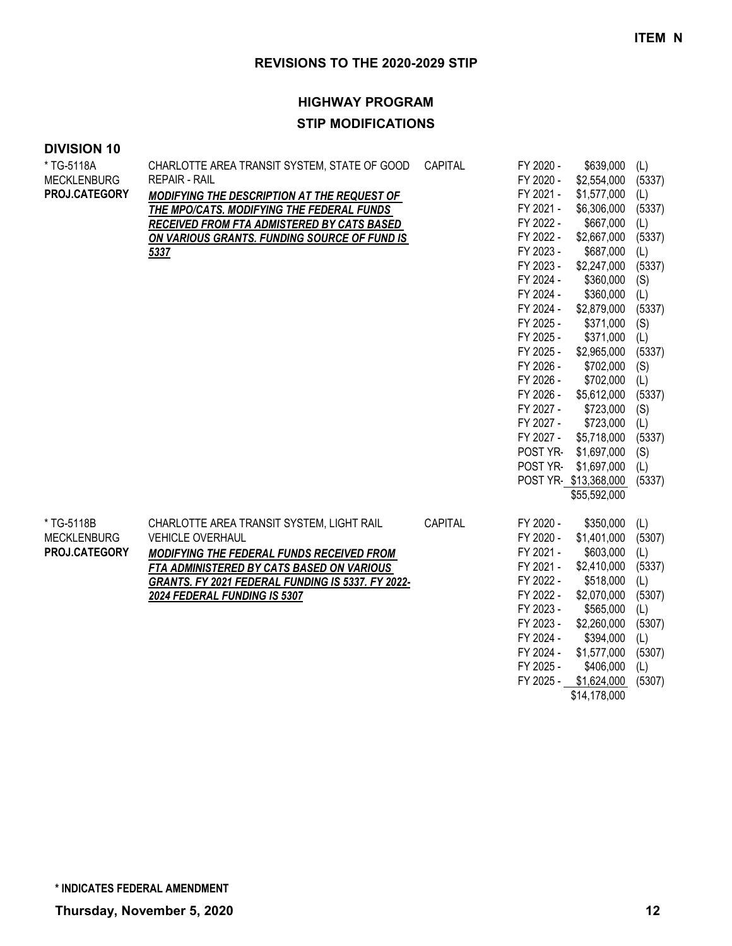# **HIGHWAY PROGRAM STIP MODIFICATIONS**

#### **DIVISION 10**

| * TG-5118A         | CHARLOTTE AREA TRANSIT SYSTEM, STATE OF GOOD      | CAPITAL | FY 2020 - | \$639,000            | (L)    |
|--------------------|---------------------------------------------------|---------|-----------|----------------------|--------|
| <b>MECKLENBURG</b> | <b>REPAIR - RAIL</b>                              |         | FY 2020 - | \$2,554,000          | (5337) |
| PROJ.CATEGORY      | MODIFYING THE DESCRIPTION AT THE REQUEST OF       |         | FY 2021 - | \$1,577,000          | (L)    |
|                    | THE MPO/CATS. MODIFYING THE FEDERAL FUNDS         |         | FY 2021 - | \$6,306,000          | (5337) |
|                    | <b>RECEIVED FROM FTA ADMISTERED BY CATS BASED</b> |         | FY 2022 - | \$667,000            | (L)    |
|                    | ON VARIOUS GRANTS. FUNDING SOURCE OF FUND IS      |         | FY 2022 - | \$2,667,000          | (5337) |
|                    | 5337                                              |         | FY 2023 - | \$687,000            | (L)    |
|                    |                                                   |         | FY 2023 - | \$2,247,000          | (5337) |
|                    |                                                   |         | FY 2024 - | \$360,000            | (S)    |
|                    |                                                   |         | FY 2024 - | \$360,000            | (L)    |
|                    |                                                   |         | FY 2024 - | \$2,879,000          | (5337) |
|                    |                                                   |         | FY 2025 - | \$371,000            | (S)    |
|                    |                                                   |         | FY 2025 - | \$371,000            | (L)    |
|                    |                                                   |         | FY 2025 - | \$2,965,000          | (5337) |
|                    |                                                   |         | FY 2026 - | \$702,000            | (S)    |
|                    |                                                   |         | FY 2026 - | \$702,000            | (L)    |
|                    |                                                   |         | FY 2026 - | \$5,612,000          | (5337) |
|                    |                                                   |         | FY 2027 - | \$723,000            | (S)    |
|                    |                                                   |         | FY 2027 - | \$723,000            | (L)    |
|                    |                                                   |         | FY 2027 - | \$5,718,000          | (5337) |
|                    |                                                   |         | POST YR-  | \$1,697,000          | (S)    |
|                    |                                                   |         | POST YR-  | \$1,697,000          | (L)    |
|                    |                                                   |         |           | POST YR-\$13,368,000 | (5337) |
|                    |                                                   |         |           | \$55,592,000         |        |
| * TG-5118B         | CHARLOTTE AREA TRANSIT SYSTEM, LIGHT RAIL         | CAPITAL | FY 2020 - | \$350,000            | (L)    |
| <b>MECKLENBURG</b> | <b>VEHICLE OVERHAUL</b>                           |         | FY 2020 - | \$1,401,000          | (5307) |
| PROJ.CATEGORY      | MODIFYING THE FEDERAL FUNDS RECEIVED FROM         |         | FY 2021 - | \$603,000            | (L)    |
|                    | FTA ADMINISTERED BY CATS BASED ON VARIOUS         |         | FY 2021 - | \$2,410,000          | (5337) |
|                    | GRANTS. FY 2021 FEDERAL FUNDING IS 5337. FY 2022- |         | FY 2022 - | \$518,000            | (L)    |
|                    | 2024 FEDERAL FUNDING IS 5307                      |         | FY 2022 - | \$2,070,000          | (5307) |
|                    |                                                   |         | FY 2023 - | \$565,000            | (L)    |
|                    |                                                   |         | FY 2023 - | \$2,260,000          | (5307) |
|                    |                                                   |         | FY 2024 - | \$394,000            | (L)    |
|                    |                                                   |         | FY 2024 - | \$1,577,000          | (5307) |
|                    |                                                   |         | FY 2025 - | \$406,000            | (L)    |

FY 2025 - \$1,624,000 (5307) \$14,178,000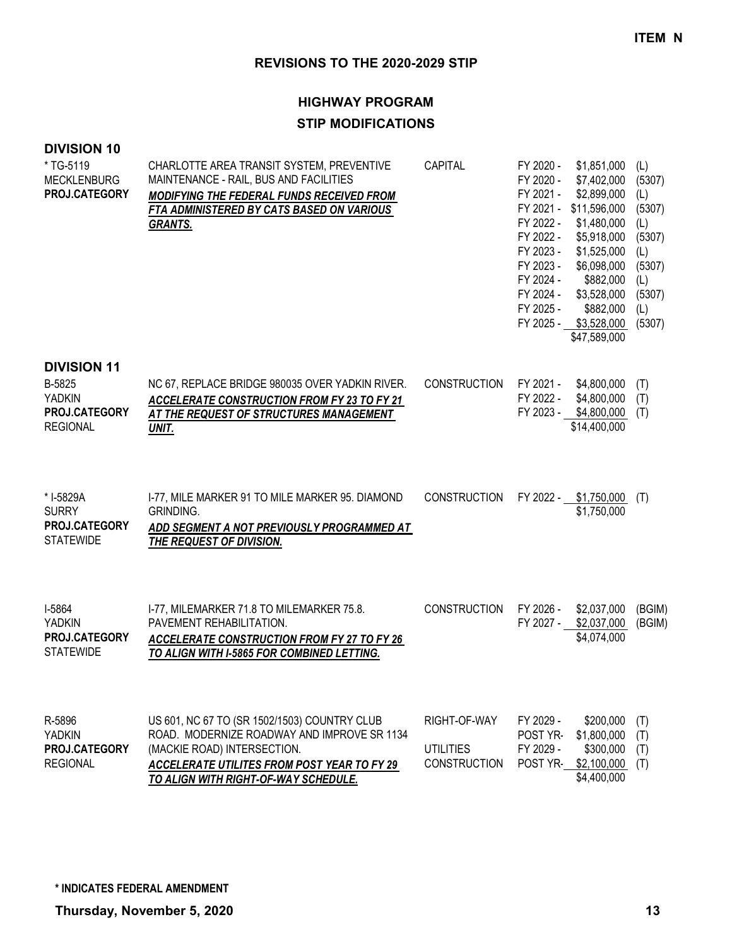# **HIGHWAY PROGRAM STIP MODIFICATIONS**

| * TG-5119<br><b>MECKLENBURG</b><br>PROJ.CATEGORY                                  | CHARLOTTE AREA TRANSIT SYSTEM, PREVENTIVE<br>MAINTENANCE - RAIL, BUS AND FACILITIES<br>MODIFYING THE FEDERAL FUNDS RECEIVED FROM<br>FTA ADMINISTERED BY CATS BASED ON VARIOUS<br><b>GRANTS.</b>                   | <b>CAPITAL</b>                                          | FY 2020 -<br>FY 2020 -<br>FY 2021 -<br>FY 2021 -<br>FY 2022 -<br>FY 2022 -<br>FY 2023 -<br>FY 2023 -<br>FY 2024 -<br>FY 2024 -<br>FY 2025 - | \$1,851,000<br>\$7,402,000<br>\$2,899,000<br>\$11,596,000<br>\$1,480,000<br>\$5,918,000<br>\$1,525,000<br>\$6,098,000<br>\$882,000<br>\$3,528,000<br>\$882,000<br>FY 2025 - \$3,528,000<br>\$47,589,000 | (L)<br>(5307)<br>(L)<br>(5307)<br>(L)<br>(5307)<br>(L)<br>(5307)<br>(L)<br>(5307)<br>(L)<br>(5307) |
|-----------------------------------------------------------------------------------|-------------------------------------------------------------------------------------------------------------------------------------------------------------------------------------------------------------------|---------------------------------------------------------|---------------------------------------------------------------------------------------------------------------------------------------------|---------------------------------------------------------------------------------------------------------------------------------------------------------------------------------------------------------|----------------------------------------------------------------------------------------------------|
| <b>DIVISION 11</b><br>B-5825<br><b>YADKIN</b><br>PROJ.CATEGORY<br><b>REGIONAL</b> | NC 67, REPLACE BRIDGE 980035 OVER YADKIN RIVER.<br><b>ACCELERATE CONSTRUCTION FROM FY 23 TO FY 21</b><br>AT THE REQUEST OF STRUCTURES MANAGEMENT<br>UNIT.                                                         | <b>CONSTRUCTION</b>                                     | FY 2021 -<br>FY 2022 -                                                                                                                      | \$4,800,000<br>\$4,800,000<br>FY 2023 - \$4,800,000<br>\$14,400,000                                                                                                                                     | (T)<br>(T)<br>(T)                                                                                  |
| * I-5829A<br><b>SURRY</b><br>PROJ.CATEGORY<br><b>STATEWIDE</b>                    | I-77, MILE MARKER 91 TO MILE MARKER 95. DIAMOND<br>GRINDING.<br>ADD SEGMENT A NOT PREVIOUSLY PROGRAMMED AT<br>THE REQUEST OF DIVISION.                                                                            | <b>CONSTRUCTION</b>                                     |                                                                                                                                             | FY 2022 - \$1,750,000<br>\$1,750,000                                                                                                                                                                    | (T)                                                                                                |
| I-5864<br><b>YADKIN</b><br>PROJ.CATEGORY<br><b>STATEWIDE</b>                      | I-77, MILEMARKER 71.8 TO MILEMARKER 75.8.<br>PAVEMENT REHABILITATION.<br>ACCELERATE CONSTRUCTION FROM FY 27 TO FY 26<br>TO ALIGN WITH I-5865 FOR COMBINED LETTING.                                                | <b>CONSTRUCTION</b>                                     | FY 2026 -<br>FY 2027 -                                                                                                                      | \$2,037,000<br>\$2,037,000<br>\$4,074,000                                                                                                                                                               | (BGIM)<br>(BGIM)                                                                                   |
| R-5896<br><b>YADKIN</b><br>PROJ.CATEGORY<br><b>REGIONAL</b>                       | US 601, NC 67 TO (SR 1502/1503) COUNTRY CLUB<br>ROAD. MODERNIZE ROADWAY AND IMPROVE SR 1134<br>(MACKIE ROAD) INTERSECTION.<br>ACCELERATE UTILITES FROM POST YEAR TO FY 29<br>TO ALIGN WITH RIGHT-OF-WAY SCHEDULE. | RIGHT-OF-WAY<br><b>UTILITIES</b><br><b>CONSTRUCTION</b> | FY 2029 -<br>POST YR-<br>FY 2029 -<br>POST YR-                                                                                              | \$200,000<br>\$1,800,000<br>\$300,000<br>\$2,100,000<br>\$4,400,000                                                                                                                                     | (T)<br>(T)<br>(T)<br>(T)                                                                           |

**DIVISION 10**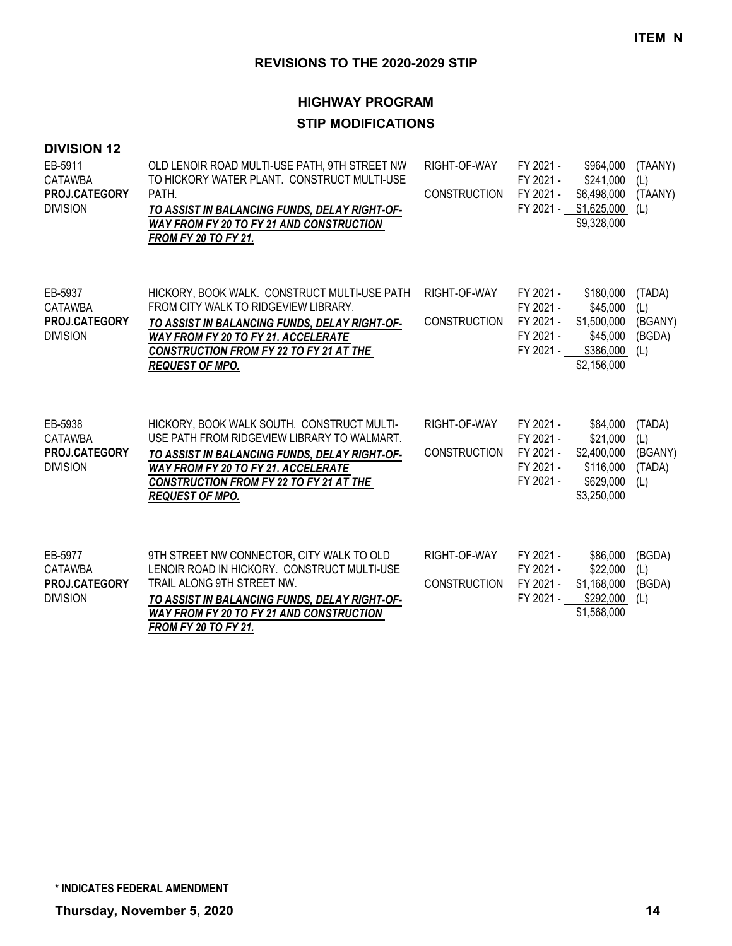# **HIGHWAY PROGRAM STIP MODIFICATIONS**

#### **DIVISION 12**

| EB-5911<br><b>CATAWBA</b><br>PROJ.CATEGORY<br><b>DIVISION</b> | OLD LENOIR ROAD MULTI-USE PATH, 9TH STREET NW<br>TO HICKORY WATER PLANT. CONSTRUCT MULTI-USE<br>PATH.<br>TO ASSIST IN BALANCING FUNDS, DELAY RIGHT-OF-<br><b>WAY FROM FY 20 TO FY 21 AND CONSTRUCTION</b><br><b>FROM FY 20 TO FY 21.</b>                 | RIGHT-OF-WAY<br><b>CONSTRUCTION</b> | FY 2021 -<br>FY 2021 -<br>FY 2021 -<br>FY 2021 -              | \$964,000<br>\$241,000<br>\$6,498,000<br>\$1,625,000<br>\$9,328,000          | (TAANY)<br>(L)<br>(TAANY)<br>(L)          |
|---------------------------------------------------------------|----------------------------------------------------------------------------------------------------------------------------------------------------------------------------------------------------------------------------------------------------------|-------------------------------------|---------------------------------------------------------------|------------------------------------------------------------------------------|-------------------------------------------|
| EB-5937<br><b>CATAWBA</b><br>PROJ.CATEGORY<br><b>DIVISION</b> | HICKORY, BOOK WALK. CONSTRUCT MULTI-USE PATH<br>FROM CITY WALK TO RIDGEVIEW LIBRARY.<br>TO ASSIST IN BALANCING FUNDS, DELAY RIGHT-OF-<br><b>WAY FROM FY 20 TO FY 21. ACCELERATE</b><br>CONSTRUCTION FROM FY 22 TO FY 21 AT THE<br><b>REQUEST OF MPO.</b> | RIGHT-OF-WAY<br><b>CONSTRUCTION</b> | FY 2021 -<br>FY 2021 -<br>FY 2021 -<br>FY 2021 -<br>FY 2021 - | \$180,000<br>\$45,000<br>\$1,500,000<br>\$45,000<br>\$386,000<br>\$2,156,000 | (TADA)<br>(L)<br>(BGANY)<br>(BGDA)<br>(L) |
| EB-5938<br><b>CATAWBA</b><br>PROJ.CATEGORY<br><b>DIVISION</b> | HICKORY, BOOK WALK SOUTH. CONSTRUCT MULTI-<br>USE PATH FROM RIDGEVIEW LIBRARY TO WALMART.<br>TO ASSIST IN BALANCING FUNDS, DELAY RIGHT-OF-<br>WAY FROM FY 20 TO FY 21. ACCELERATE<br>CONSTRUCTION FROM FY 22 TO FY 21 AT THE<br><b>REQUEST OF MPO.</b>   | RIGHT-OF-WAY<br><b>CONSTRUCTION</b> | FY 2021 -<br>FY 2021 -<br>FY 2021 -<br>FY 2021 -<br>FY 2021 - | \$84,000<br>\$21,000<br>\$2,400,000<br>\$116,000<br>\$629,000<br>\$3,250,000 | (TADA)<br>(L)<br>(BGANY)<br>(TADA)<br>(L) |
| EB-5977<br>CATAWBA<br>PROJ.CATEGORY<br><b>DIVISION</b>        | 9TH STREET NW CONNECTOR, CITY WALK TO OLD<br>LENOIR ROAD IN HICKORY. CONSTRUCT MULTI-USE<br>TRAIL ALONG 9TH STREET NW.<br>TO ASSIST IN BALANCING FUNDS, DELAY RIGHT-OF-<br><b>WAY FROM FY 20 TO FY 21 AND CONSTRUCTION</b><br>FROM FY 20 TO FY 21.       | RIGHT-OF-WAY<br><b>CONSTRUCTION</b> | FY 2021 -<br>FY 2021 -<br>FY 2021 -<br>FY 2021 -              | \$86,000<br>\$22,000<br>\$1,168,000<br>\$292,000<br>\$1,568,000              | (BGDA)<br>(L)<br>(BGDA)<br>(L)            |

**\* INDICATES FEDERAL AMENDMENT**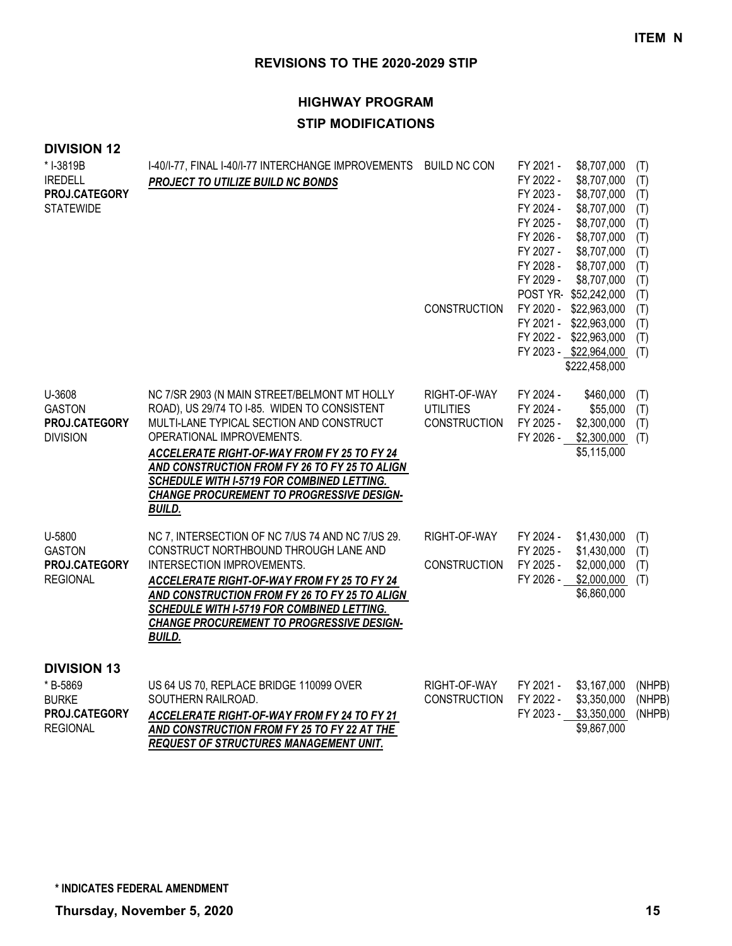# **HIGHWAY PROGRAM STIP MODIFICATIONS**

### **DIVISION 12**

| *I-3819B<br><b>IREDELL</b><br>PROJ.CATEGORY<br><b>STATEWIDE</b>                    | I-40/I-77, FINAL I-40/I-77 INTERCHANGE IMPROVEMENTS BUILD NC CON<br>PROJECT TO UTILIZE BUILD NC BONDS                                                                                                                                                                                                                                                                                    |                                                         | FY 2021 -<br>FY 2022 -<br>FY 2023 -<br>FY 2024 -<br>FY 2025 -<br>FY 2026 -<br>FY 2027 -<br>FY 2028 -<br>FY 2029 - | \$8,707,000<br>\$8,707,000<br>\$8,707,000<br>\$8,707,000<br>\$8,707,000<br>\$8,707,000<br>\$8,707,000<br>\$8,707,000<br>\$8,707,000<br>POST YR-\$52,242,000 | (T)<br>(T)<br>(T)<br>(T)<br>(T)<br>(T)<br>(T)<br>(T)<br>(T)<br>(T) |
|------------------------------------------------------------------------------------|------------------------------------------------------------------------------------------------------------------------------------------------------------------------------------------------------------------------------------------------------------------------------------------------------------------------------------------------------------------------------------------|---------------------------------------------------------|-------------------------------------------------------------------------------------------------------------------|-------------------------------------------------------------------------------------------------------------------------------------------------------------|--------------------------------------------------------------------|
|                                                                                    |                                                                                                                                                                                                                                                                                                                                                                                          | <b>CONSTRUCTION</b>                                     |                                                                                                                   | FY 2020 - \$22,963,000<br>FY 2021 - \$22,963,000<br>FY 2022 - \$22,963,000<br>FY 2023 - \$22,964,000<br>\$222,458,000                                       | (T)<br>(T)<br>(T)<br>(T)                                           |
| U-3608<br><b>GASTON</b><br>PROJ.CATEGORY<br><b>DIVISION</b>                        | NC 7/SR 2903 (N MAIN STREET/BELMONT MT HOLLY<br>ROAD), US 29/74 TO I-85. WIDEN TO CONSISTENT<br>MULTI-LANE TYPICAL SECTION AND CONSTRUCT<br>OPERATIONAL IMPROVEMENTS.<br>ACCELERATE RIGHT-OF-WAY FROM FY 25 TO FY 24<br>AND CONSTRUCTION FROM FY 26 TO FY 25 TO ALIGN<br>SCHEDULE WITH I-5719 FOR COMBINED LETTING.<br><b>CHANGE PROCUREMENT TO PROGRESSIVE DESIGN-</b><br><b>BUILD.</b> | RIGHT-OF-WAY<br><b>UTILITIES</b><br><b>CONSTRUCTION</b> | FY 2024 -<br>FY 2024 -<br>FY 2025 -<br>FY 2026 -                                                                  | \$460,000<br>\$55,000<br>\$2,300,000<br>\$2,300,000<br>\$5,115,000                                                                                          | (T)<br>(T)<br>(T)<br>(T)                                           |
| U-5800<br><b>GASTON</b><br>PROJ.CATEGORY<br><b>REGIONAL</b>                        | NC 7, INTERSECTION OF NC 7/US 74 AND NC 7/US 29.<br>CONSTRUCT NORTHBOUND THROUGH LANE AND<br>INTERSECTION IMPROVEMENTS.<br>ACCELERATE RIGHT-OF-WAY FROM FY 25 TO FY 24<br>AND CONSTRUCTION FROM FY 26 TO FY 25 TO ALIGN<br>SCHEDULE WITH I-5719 FOR COMBINED LETTING.<br><b>CHANGE PROCUREMENT TO PROGRESSIVE DESIGN-</b><br><b>BUILD.</b>                                               | RIGHT-OF-WAY<br><b>CONSTRUCTION</b>                     | FY 2024 -<br>FY 2025 -<br>FY 2025 -<br>FY 2026 -                                                                  | \$1,430,000<br>\$1,430,000<br>\$2,000,000<br>\$2,000,000<br>\$6,860,000                                                                                     | (T)<br>(T)<br>(T)<br>(T)                                           |
| <b>DIVISION 13</b><br>* B-5869<br><b>BURKE</b><br>PROJ.CATEGORY<br><b>REGIONAL</b> | US 64 US 70, REPLACE BRIDGE 110099 OVER<br>SOUTHERN RAILROAD.<br><b>ACCELERATE RIGHT-OF-WAY FROM FY 24 TO FY 21</b><br>AND CONSTRUCTION FROM FY 25 TO FY 22 AT THE                                                                                                                                                                                                                       | RIGHT-OF-WAY<br><b>CONSTRUCTION</b>                     | FY 2021 -<br>FY 2022 -<br>FY 2023 -                                                                               | \$3,167,000<br>\$3,350,000<br>\$3,350,000<br>\$9,867,000                                                                                                    | (NHPB)<br>(NHPB)<br>(NHPB)                                         |

*AND CONSTRUCTION FROM FY 25 TO FY 22 AT THE REQUEST OF STRUCTURES MANAGEMENT UNIT.*

**\* INDICATES FEDERAL AMENDMENT**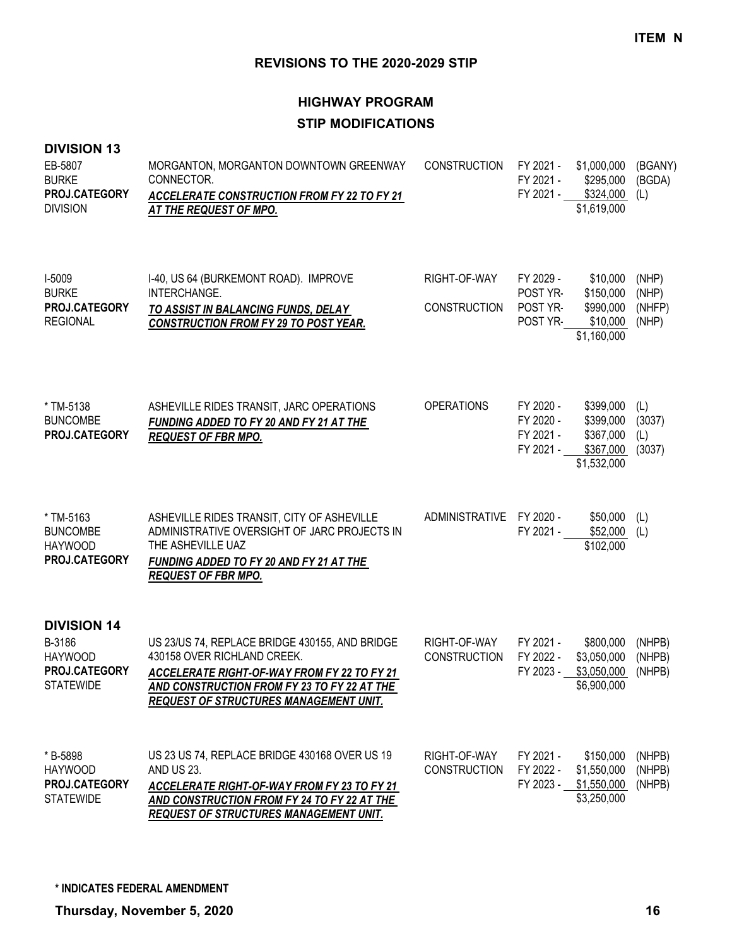# **HIGHWAY PROGRAM STIP MODIFICATIONS**

#### **DIVISION 13**

| EB-5807<br><b>BURKE</b><br>PROJ.CATEGORY<br><b>DIVISION</b>                         | MORGANTON, MORGANTON DOWNTOWN GREENWAY<br>CONNECTOR.<br><b>ACCELERATE CONSTRUCTION FROM FY 22 TO FY 21</b><br>AT THE REQUEST OF MPO.                                                                                                | CONSTRUCTION                        | FY 2021 -<br>FY 2021 -                           | \$1,000,000<br>\$295,000<br>FY 2021 - \$324,000<br>\$1,619,000  | (BGANY)<br>(BGDA)<br>(L)          |
|-------------------------------------------------------------------------------------|-------------------------------------------------------------------------------------------------------------------------------------------------------------------------------------------------------------------------------------|-------------------------------------|--------------------------------------------------|-----------------------------------------------------------------|-----------------------------------|
| I-5009<br><b>BURKE</b><br>PROJ.CATEGORY<br><b>REGIONAL</b>                          | I-40, US 64 (BURKEMONT ROAD). IMPROVE<br>INTERCHANGE.<br>TO ASSIST IN BALANCING FUNDS, DELAY<br><b>CONSTRUCTION FROM FY 29 TO POST YEAR.</b>                                                                                        | RIGHT-OF-WAY<br><b>CONSTRUCTION</b> | FY 2029 -<br>POST YR-<br>POST YR-<br>POST YR-    | \$10,000<br>\$150,000<br>\$990,000<br>\$10,000<br>\$1,160,000   | (NHP)<br>(NHP)<br>(NHFP)<br>(NHP) |
| * TM-5138<br><b>BUNCOMBE</b><br>PROJ.CATEGORY                                       | ASHEVILLE RIDES TRANSIT, JARC OPERATIONS<br>FUNDING ADDED TO FY 20 AND FY 21 AT THE<br><b>REQUEST OF FBR MPO.</b>                                                                                                                   | <b>OPERATIONS</b>                   | FY 2020 -<br>FY 2020 -<br>FY 2021 -<br>FY 2021 - | \$399,000<br>\$399,000<br>\$367,000<br>\$367,000<br>\$1,532,000 | (L)<br>(3037)<br>(L)<br>(3037)    |
| * TM-5163<br><b>BUNCOMBE</b><br><b>HAYWOOD</b><br>PROJ.CATEGORY                     | ASHEVILLE RIDES TRANSIT, CITY OF ASHEVILLE<br>ADMINISTRATIVE OVERSIGHT OF JARC PROJECTS IN<br>THE ASHEVILLE UAZ<br>FUNDING ADDED TO FY 20 AND FY 21 AT THE<br><b>REQUEST OF FBR MPO.</b>                                            | ADMINISTRATIVE FY 2020 -            | FY 2021 -                                        | \$50,000<br>\$52,000<br>\$102,000                               | (L)<br>(L)                        |
| <b>DIVISION 14</b><br>B-3186<br><b>HAYWOOD</b><br>PROJ.CATEGORY<br><b>STATEWIDE</b> | US 23/US 74, REPLACE BRIDGE 430155, AND BRIDGE<br>430158 OVER RICHLAND CREEK.<br><b>ACCELERATE RIGHT-OF-WAY FROM FY 22 TO FY 21</b><br>AND CONSTRUCTION FROM FY 23 TO FY 22 AT THE<br><b>REQUEST OF STRUCTURES MANAGEMENT UNIT.</b> | RIGHT-OF-WAY<br><b>CONSTRUCTION</b> | FY 2021 -<br>FY 2022 -<br>FY 2023 -              | \$800,000<br>\$3,050,000<br>\$3,050,000<br>\$6,900,000          | (NHPB)<br>(NHPB)<br>(NHPB)        |
| * B-5898<br><b>HAYWOOD</b><br>PROJ.CATEGORY<br><b>STATEWIDE</b>                     | US 23 US 74, REPLACE BRIDGE 430168 OVER US 19<br>AND US 23.<br>ACCELERATE RIGHT-OF-WAY FROM FY 23 TO FY 21<br><b>AND CONSTRUCTION FROM FY 24 TO FY 22 AT THE</b><br><b>REQUEST OF STRUCTURES MANAGEMENT UNIT.</b>                   | RIGHT-OF-WAY<br><b>CONSTRUCTION</b> | FY 2021 -<br>FY 2022 -<br>FY 2023 -              | \$150,000<br>\$1,550,000<br>\$1,550,000<br>\$3,250,000          | (NHPB)<br>(NHPB)<br>(NHPB)        |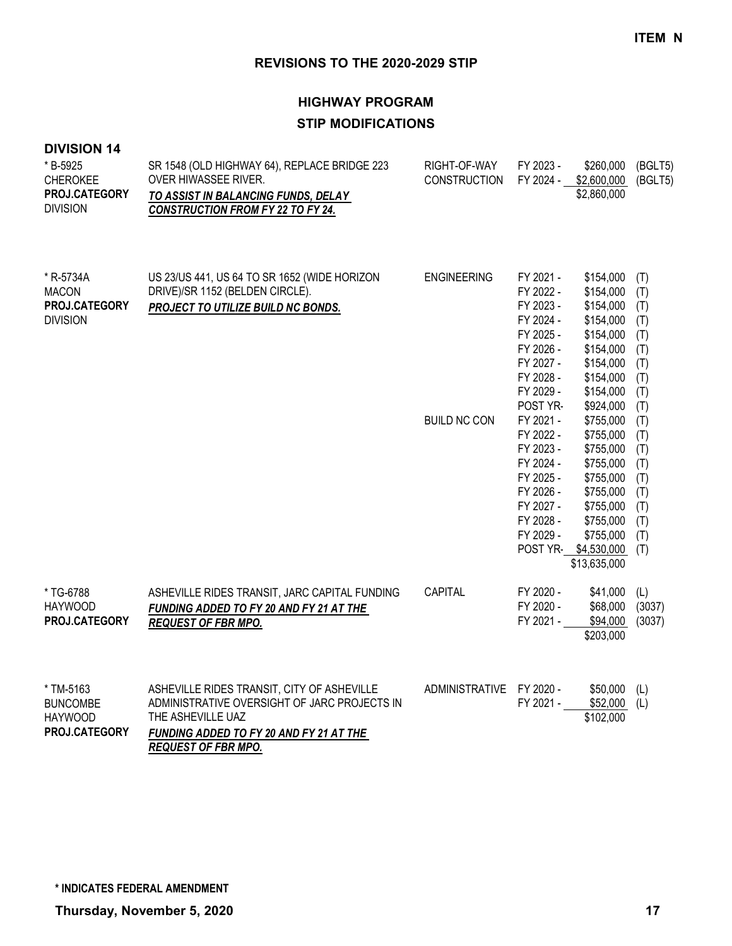# **HIGHWAY PROGRAM STIP MODIFICATIONS**

#### **DIVISION 14**

| * B-5925<br><b>CHEROKEE</b><br>PROJ.CATEGORY<br><b>DIVISION</b> | SR 1548 (OLD HIGHWAY 64), REPLACE BRIDGE 223<br>OVER HIWASSEE RIVER.<br>TO ASSIST IN BALANCING FUNDS, DELAY<br><b>CONSTRUCTION FROM FY 22 TO FY 24.</b>    | RIGHT-OF-WAY<br><b>CONSTRUCTION</b> | FY 2023 -<br>FY 2024 -                                                                                                        | \$260,000<br>\$2,600,000<br>\$2,860,000                                                                                                                   | (BGLT5)<br>(BGLT5)                                                 |
|-----------------------------------------------------------------|------------------------------------------------------------------------------------------------------------------------------------------------------------|-------------------------------------|-------------------------------------------------------------------------------------------------------------------------------|-----------------------------------------------------------------------------------------------------------------------------------------------------------|--------------------------------------------------------------------|
| * R-5734A<br><b>MACON</b><br>PROJ.CATEGORY<br><b>DIVISION</b>   | US 23/US 441, US 64 TO SR 1652 (WIDE HORIZON<br>DRIVE)/SR 1152 (BELDEN CIRCLE).<br>PROJECT TO UTILIZE BUILD NC BONDS.                                      | <b>ENGINEERING</b>                  | FY 2021 -<br>FY 2022 -<br>FY 2023 -<br>FY 2024 -<br>FY 2025 -<br>FY 2026 -<br>FY 2027 -<br>FY 2028 -<br>FY 2029 -<br>POST YR- | \$154,000<br>\$154,000<br>\$154,000<br>\$154,000<br>\$154,000<br>\$154,000<br>\$154,000<br>\$154,000<br>\$154,000<br>\$924,000                            | (T)<br>(T)<br>(T)<br>(T)<br>(T)<br>(T)<br>(T)<br>(T)<br>(T)<br>(T) |
|                                                                 |                                                                                                                                                            | <b>BUILD NC CON</b>                 | FY 2021 -<br>FY 2022 -<br>FY 2023 -<br>FY 2024 -<br>FY 2025 -<br>FY 2026 -<br>FY 2027 -<br>FY 2028 -<br>FY 2029 -             | \$755,000<br>\$755,000<br>\$755,000<br>\$755,000<br>\$755,000<br>\$755,000<br>\$755,000<br>\$755,000<br>\$755,000<br>POST YR- \$4,530,000<br>\$13,635,000 | (T)<br>(T)<br>(T)<br>(T)<br>(T)<br>(T)<br>(T)<br>(T)<br>(T)<br>(T) |
| * TG-6788<br><b>HAYWOOD</b><br>PROJ.CATEGORY                    | ASHEVILLE RIDES TRANSIT, JARC CAPITAL FUNDING<br>FUNDING ADDED TO FY 20 AND FY 21 AT THE<br><b>REQUEST OF FBR MPO.</b>                                     | <b>CAPITAL</b>                      | FY 2020 -<br>FY 2020 -<br>FY 2021 -                                                                                           | \$41,000<br>\$68,000<br>\$94,000<br>\$203,000                                                                                                             | (L)<br>(3037)<br>(3037)                                            |
| * TM-5163<br><b>BUNCOMBE</b><br><b>HAYWOOD</b><br>PROJ.CATEGORY | ASHEVILLE RIDES TRANSIT, CITY OF ASHEVILLE<br>ADMINISTRATIVE OVERSIGHT OF JARC PROJECTS IN<br>THE ASHEVILLE UAZ<br>FUNDING ADDED TO FY 20 AND FY 21 AT THE | ADMINISTRATIVE FY 2020 -            | FY 2021 -                                                                                                                     | \$50,000<br>\$52,000<br>\$102,000                                                                                                                         | (L)<br>(L)                                                         |

*REQUEST OF FBR MPO.*

**\* INDICATES FEDERAL AMENDMENT**